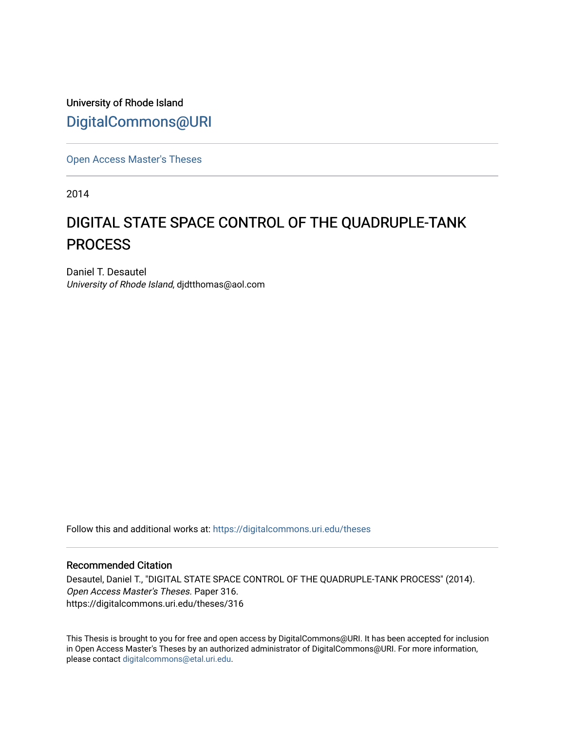University of Rhode Island [DigitalCommons@URI](https://digitalcommons.uri.edu/) 

[Open Access Master's Theses](https://digitalcommons.uri.edu/theses) 

2014

# DIGITAL STATE SPACE CONTROL OF THE QUADRUPLE-TANK **PROCESS**

Daniel T. Desautel University of Rhode Island, djdtthomas@aol.com

Follow this and additional works at: [https://digitalcommons.uri.edu/theses](https://digitalcommons.uri.edu/theses?utm_source=digitalcommons.uri.edu%2Ftheses%2F316&utm_medium=PDF&utm_campaign=PDFCoverPages)

#### Recommended Citation

Desautel, Daniel T., "DIGITAL STATE SPACE CONTROL OF THE QUADRUPLE-TANK PROCESS" (2014). Open Access Master's Theses. Paper 316. https://digitalcommons.uri.edu/theses/316

This Thesis is brought to you for free and open access by DigitalCommons@URI. It has been accepted for inclusion in Open Access Master's Theses by an authorized administrator of DigitalCommons@URI. For more information, please contact [digitalcommons@etal.uri.edu.](mailto:digitalcommons@etal.uri.edu)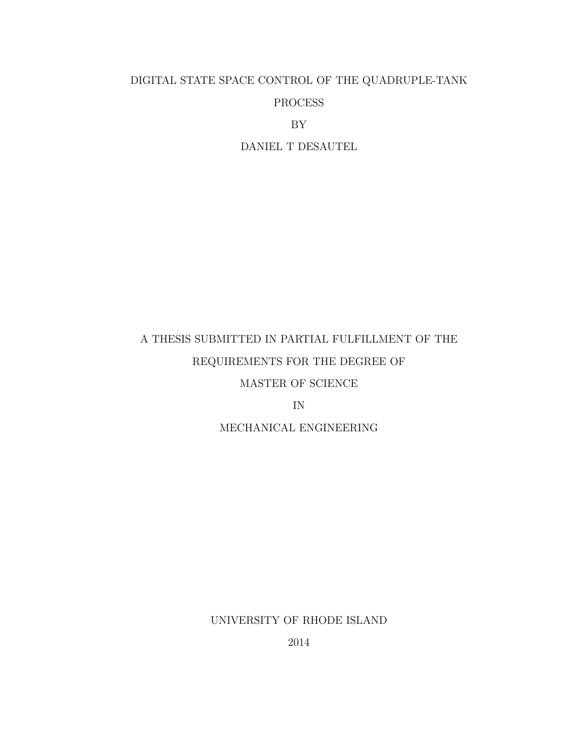# DIGITAL STATE SPACE CONTROL OF THE QUADRUPLE-TANK PROCESS

BY

DANIEL T DESAUTEL

# A THESIS SUBMITTED IN PARTIAL FULFILLMENT OF THE REQUIREMENTS FOR THE DEGREE OF MASTER OF SCIENCE

IN

MECHANICAL ENGINEERING

UNIVERSITY OF RHODE ISLAND

2014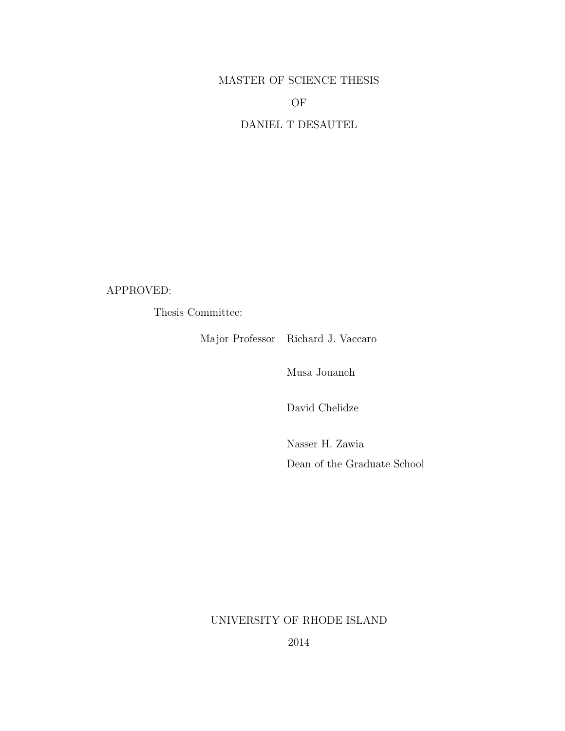### MASTER OF SCIENCE THESIS

OF

DANIEL T DESAUTEL

APPROVED:

Thesis Committee:

Major Professor Richard J. Vaccaro

Musa Jouaneh

David Chelidze

Nasser H. Zawia Dean of the Graduate School

UNIVERSITY OF RHODE ISLAND

2014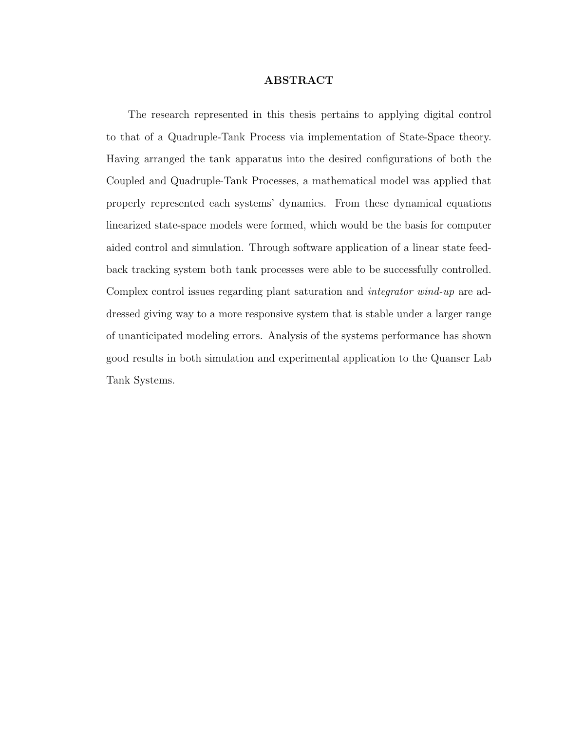#### ABSTRACT

<span id="page-3-0"></span>The research represented in this thesis pertains to applying digital control to that of a Quadruple-Tank Process via implementation of State-Space theory. Having arranged the tank apparatus into the desired configurations of both the Coupled and Quadruple-Tank Processes, a mathematical model was applied that properly represented each systems' dynamics. From these dynamical equations linearized state-space models were formed, which would be the basis for computer aided control and simulation. Through software application of a linear state feedback tracking system both tank processes were able to be successfully controlled. Complex control issues regarding plant saturation and integrator wind-up are addressed giving way to a more responsive system that is stable under a larger range of unanticipated modeling errors. Analysis of the systems performance has shown good results in both simulation and experimental application to the Quanser Lab Tank Systems.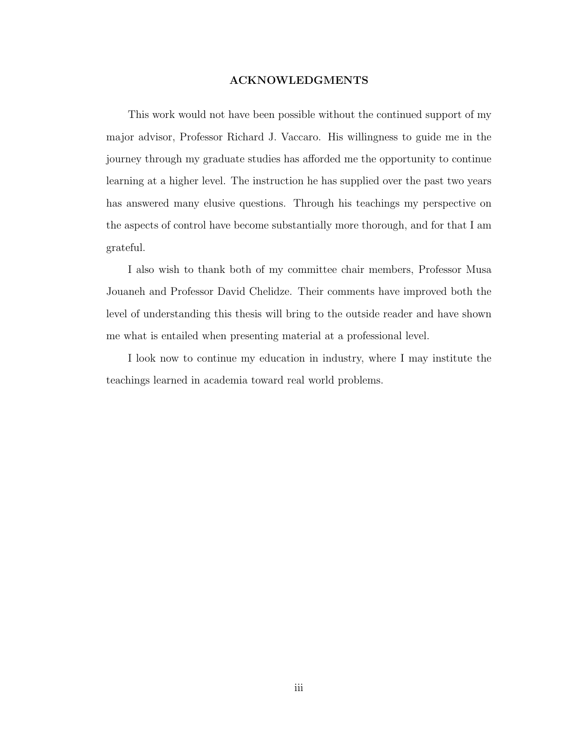#### ACKNOWLEDGMENTS

<span id="page-4-0"></span>This work would not have been possible without the continued support of my major advisor, Professor Richard J. Vaccaro. His willingness to guide me in the journey through my graduate studies has afforded me the opportunity to continue learning at a higher level. The instruction he has supplied over the past two years has answered many elusive questions. Through his teachings my perspective on the aspects of control have become substantially more thorough, and for that I am grateful.

I also wish to thank both of my committee chair members, Professor Musa Jouaneh and Professor David Chelidze. Their comments have improved both the level of understanding this thesis will bring to the outside reader and have shown me what is entailed when presenting material at a professional level.

I look now to continue my education in industry, where I may institute the teachings learned in academia toward real world problems.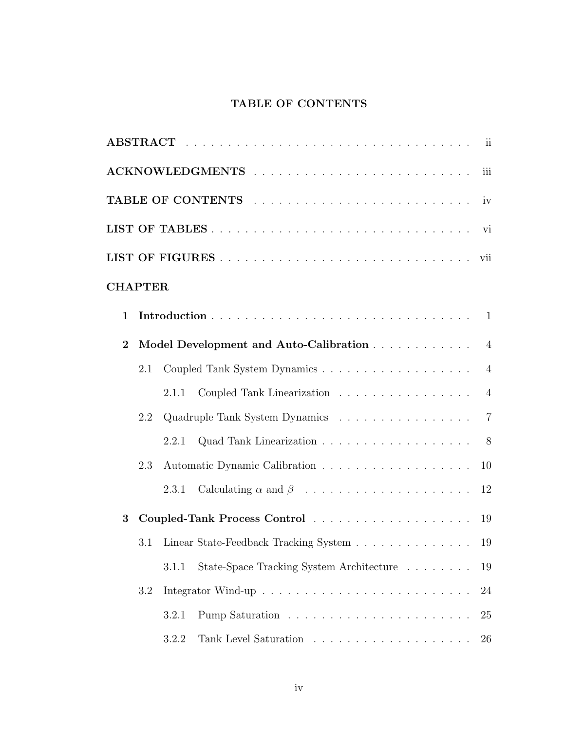### TABLE OF CONTENTS

<span id="page-5-0"></span>

| iii            |     |       |                                                                                          |                |  |  |
|----------------|-----|-------|------------------------------------------------------------------------------------------|----------------|--|--|
|                |     |       |                                                                                          |                |  |  |
|                |     |       |                                                                                          |                |  |  |
|                |     |       |                                                                                          |                |  |  |
| <b>CHAPTER</b> |     |       |                                                                                          |                |  |  |
| $\mathbf{1}$   |     |       |                                                                                          | 1              |  |  |
| $\overline{2}$ |     |       | Model Development and Auto-Calibration                                                   | $\overline{4}$ |  |  |
|                | 2.1 |       |                                                                                          | $\overline{4}$ |  |  |
|                |     | 2.1.1 | Coupled Tank Linearization                                                               | $\overline{4}$ |  |  |
|                | 2.2 |       |                                                                                          | $\overline{7}$ |  |  |
|                |     | 2.2.1 | Quad Tank Linearization 8                                                                |                |  |  |
|                | 2.3 |       |                                                                                          | 10             |  |  |
|                |     | 2.3.1 |                                                                                          | 12             |  |  |
| 3              |     |       | Coupled-Tank Process Control 19                                                          |                |  |  |
|                | 3.1 |       | Linear State-Feedback Tracking System $\hfill\ldots\ldots\ldots\ldots\ldots\ldots\ldots$ | 19             |  |  |
|                |     | 3.1.1 | State-Space Tracking System Architecture                                                 | 19             |  |  |
|                | 3.2 |       |                                                                                          | 24             |  |  |
|                |     | 3.2.1 |                                                                                          | 25             |  |  |
|                |     | 3.2.2 |                                                                                          | 26             |  |  |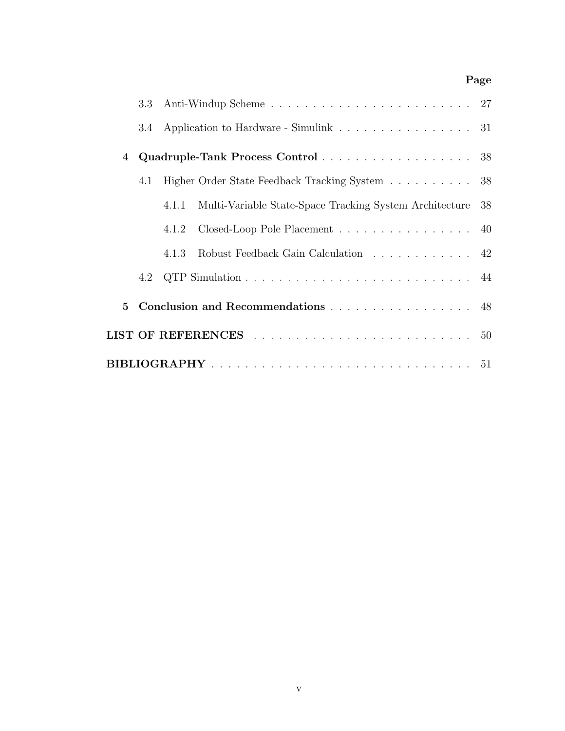### Page

|                  | 3.3 |                                                                     |  |  |  |
|------------------|-----|---------------------------------------------------------------------|--|--|--|
|                  | 3.4 | Application to Hardware - Simulink 31                               |  |  |  |
| $\boldsymbol{4}$ |     | Quadruple-Tank Process Control 38                                   |  |  |  |
|                  | 4.1 | Higher Order State Feedback Tracking System 38                      |  |  |  |
|                  |     | Multi-Variable State-Space Tracking System Architecture 38<br>4.1.1 |  |  |  |
|                  |     | Closed-Loop Pole Placement 40<br>4.1.2                              |  |  |  |
|                  |     | Robust Feedback Gain Calculation 42<br>4.1.3                        |  |  |  |
|                  |     |                                                                     |  |  |  |
| $5\overline{)}$  |     | Conclusion and Recommendations 48                                   |  |  |  |
|                  |     |                                                                     |  |  |  |
|                  |     |                                                                     |  |  |  |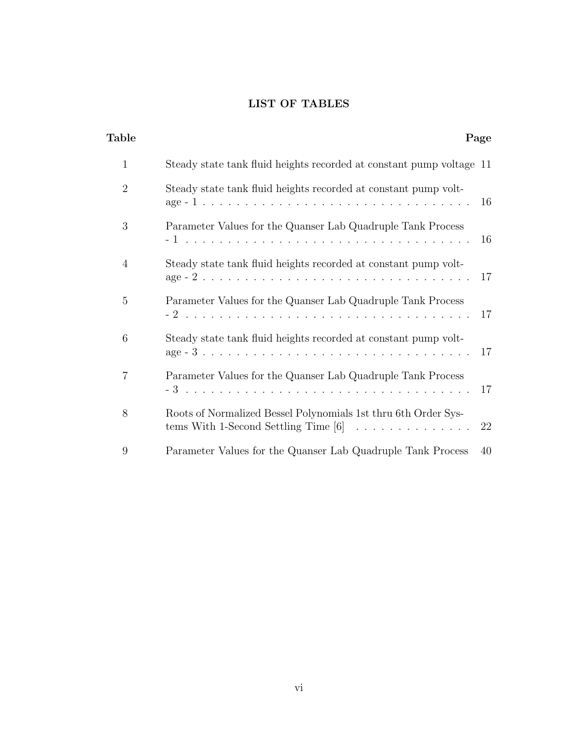### LIST OF TABLES

<span id="page-7-0"></span>

| <b>Table</b>                                                                                                                                                                    | Page |
|---------------------------------------------------------------------------------------------------------------------------------------------------------------------------------|------|
| $\mathbf{1}$<br>Steady state tank fluid heights recorded at constant pump voltage 11                                                                                            |      |
| $\overline{2}$<br>Steady state tank fluid heights recorded at constant pump volt-                                                                                               | 16   |
| 3<br>Parameter Values for the Quanser Lab Quadruple Tank Process                                                                                                                | 16   |
| $\overline{4}$<br>Steady state tank fluid heights recorded at constant pump volt-<br>$age - 2 + \ldots + \ldots + \ldots + \ldots + \ldots + \ldots + \ldots + \ldots + \ldots$ | 17   |
| $\overline{5}$<br>Parameter Values for the Quanser Lab Quadruple Tank Process                                                                                                   | 17   |
| 6<br>Steady state tank fluid heights recorded at constant pump volt-                                                                                                            | 17   |
| $\overline{7}$<br>Parameter Values for the Quanser Lab Quadruple Tank Process                                                                                                   | 17   |
| 8<br>Roots of Normalized Bessel Polynomials 1st thru 6th Order Sys-<br>tems With 1-Second Settling Time $[6]$                                                                   | 22   |
| 9<br>Parameter Values for the Quanser Lab Quadruple Tank Process                                                                                                                | 40   |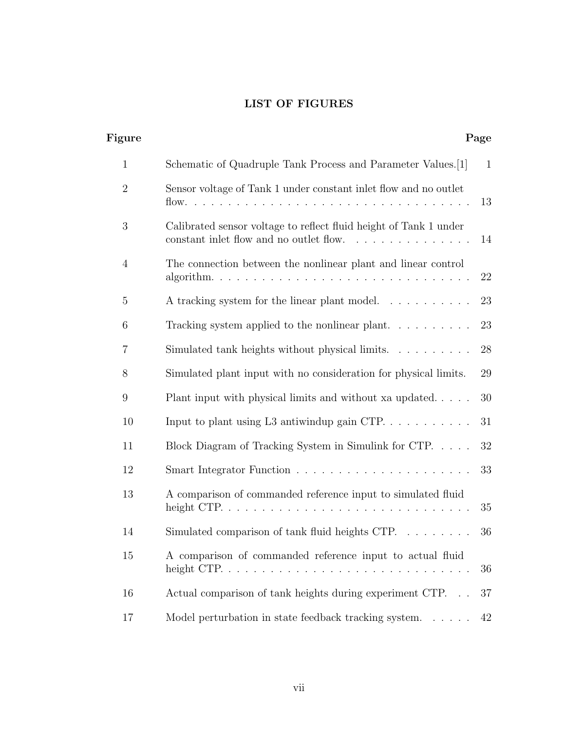### LIST OF FIGURES

<span id="page-8-0"></span>

| Figure         |                                                                                                              | Page         |
|----------------|--------------------------------------------------------------------------------------------------------------|--------------|
| $\mathbf{1}$   | Schematic of Quadruple Tank Process and Parameter Values. [1]                                                | $\mathbf{1}$ |
| $\overline{2}$ | Sensor voltage of Tank 1 under constant inlet flow and no outlet                                             | 13           |
| 3              | Calibrated sensor voltage to reflect fluid height of Tank 1 under<br>constant inlet flow and no outlet flow. | 14           |
| $\overline{4}$ | The connection between the nonlinear plant and linear control                                                | 22           |
| 5              | A tracking system for the linear plant model                                                                 | 23           |
| 6              | Tracking system applied to the nonlinear plant                                                               | 23           |
| $\overline{7}$ | Simulated tank heights without physical limits.                                                              | 28           |
| 8              | Simulated plant input with no consideration for physical limits.                                             | 29           |
| 9              | Plant input with physical limits and without xa updated                                                      | 30           |
| 10             | Input to plant using L3 antiwindup gain CTP                                                                  | 31           |
| 11             | Block Diagram of Tracking System in Simulink for CTP.                                                        | 32           |
| 12             |                                                                                                              | 33           |
| 13             | A comparison of commanded reference input to simulated fluid                                                 | 35           |
| 14             | Simulated comparison of tank fluid heights CTP.                                                              | 36           |
| 15             | A comparison of commanded reference input to actual fluid                                                    | 36           |
| 16             | Actual comparison of tank heights during experiment CTP                                                      | 37           |
| 17             | Model perturbation in state feedback tracking system                                                         | 42           |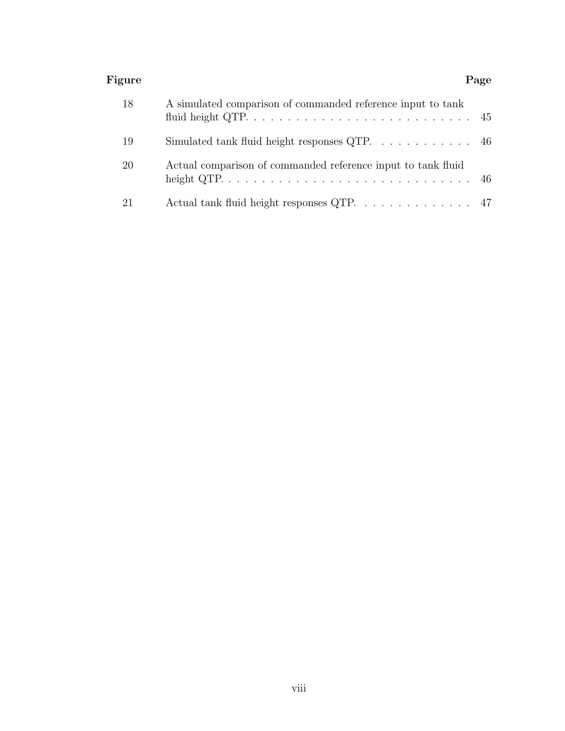#### Figure Page Page 2014 Page 2014 Page 2014 Page 2014 Page 2014 Page 2014 Page 2014

| 18 | A simulated comparison of commanded reference input to tank       |  |
|----|-------------------------------------------------------------------|--|
| 19 | Simulated tank fluid height responses QTP. $\dots \dots \dots$ 46 |  |
| 20 | Actual comparison of commanded reference input to tank fluid      |  |
| 21 | Actual tank fluid height responses QTP. 47                        |  |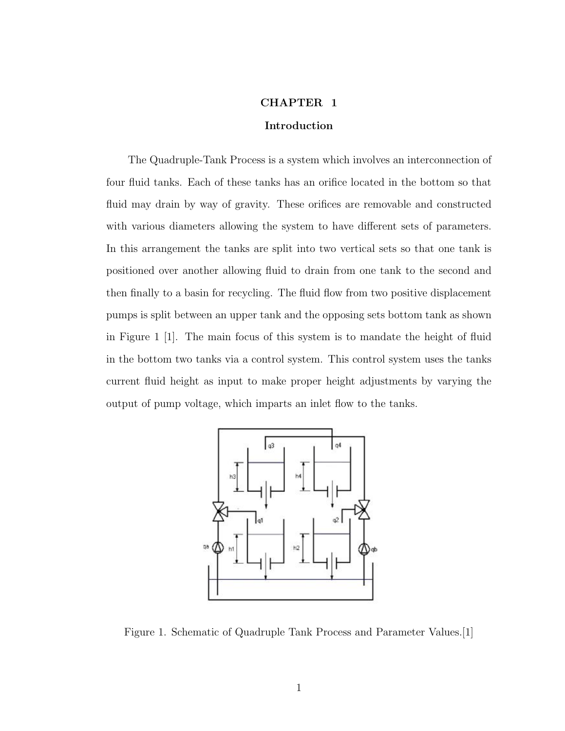#### CHAPTER 1

#### Introduction

<span id="page-10-0"></span>The Quadruple-Tank Process is a system which involves an interconnection of four fluid tanks. Each of these tanks has an orifice located in the bottom so that fluid may drain by way of gravity. These orifices are removable and constructed with various diameters allowing the system to have different sets of parameters. In this arrangement the tanks are split into two vertical sets so that one tank is positioned over another allowing fluid to drain from one tank to the second and then finally to a basin for recycling. The fluid flow from two positive displacement pumps is split between an upper tank and the opposing sets bottom tank as shown in Figure [1](#page-10-1) [\[1\]](#page-59-2). The main focus of this system is to mandate the height of fluid in the bottom two tanks via a control system. This control system uses the tanks current fluid height as input to make proper height adjustments by varying the output of pump voltage, which imparts an inlet flow to the tanks.



<span id="page-10-1"></span>Figure 1. Schematic of Quadruple Tank Process and Parameter Values.[\[1\]](#page-59-2)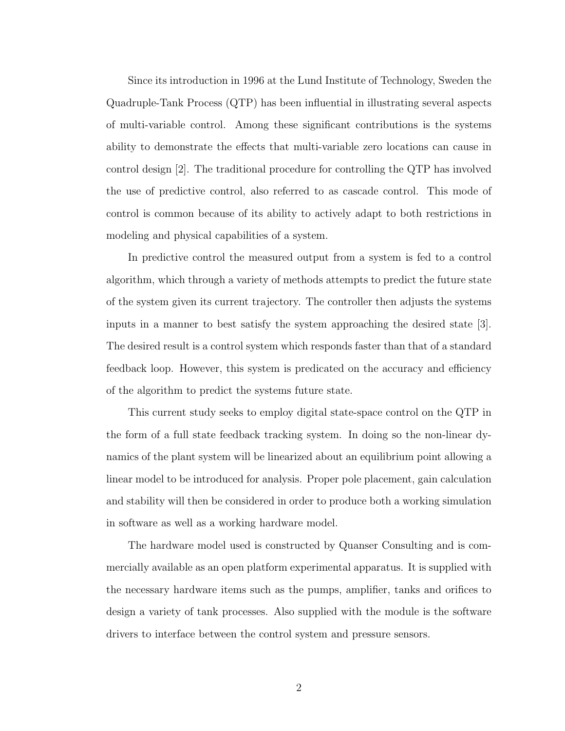Since its introduction in 1996 at the Lund Institute of Technology, Sweden the Quadruple-Tank Process (QTP) has been influential in illustrating several aspects of multi-variable control. Among these significant contributions is the systems ability to demonstrate the effects that multi-variable zero locations can cause in control design [\[2\]](#page-59-3). The traditional procedure for controlling the QTP has involved the use of predictive control, also referred to as cascade control. This mode of control is common because of its ability to actively adapt to both restrictions in modeling and physical capabilities of a system.

In predictive control the measured output from a system is fed to a control algorithm, which through a variety of methods attempts to predict the future state of the system given its current trajectory. The controller then adjusts the systems inputs in a manner to best satisfy the system approaching the desired state [\[3\]](#page-59-4). The desired result is a control system which responds faster than that of a standard feedback loop. However, this system is predicated on the accuracy and efficiency of the algorithm to predict the systems future state.

This current study seeks to employ digital state-space control on the QTP in the form of a full state feedback tracking system. In doing so the non-linear dynamics of the plant system will be linearized about an equilibrium point allowing a linear model to be introduced for analysis. Proper pole placement, gain calculation and stability will then be considered in order to produce both a working simulation in software as well as a working hardware model.

The hardware model used is constructed by Quanser Consulting and is commercially available as an open platform experimental apparatus. It is supplied with the necessary hardware items such as the pumps, amplifier, tanks and orifices to design a variety of tank processes. Also supplied with the module is the software drivers to interface between the control system and pressure sensors.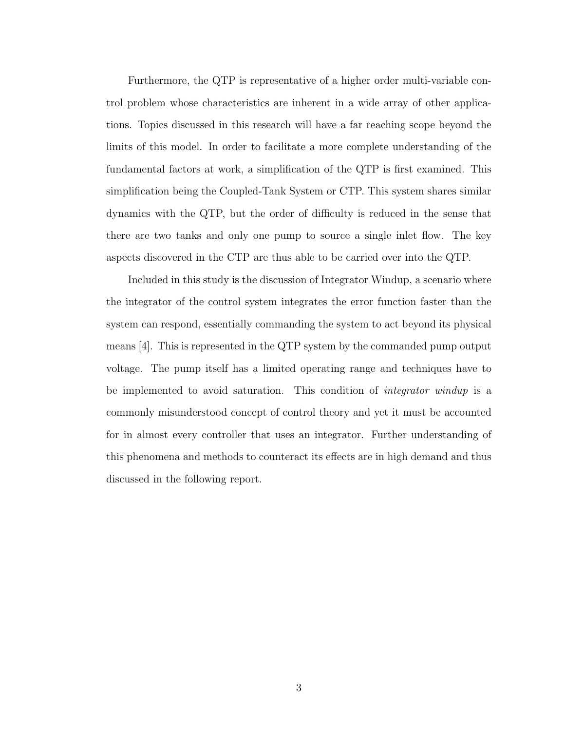Furthermore, the QTP is representative of a higher order multi-variable control problem whose characteristics are inherent in a wide array of other applications. Topics discussed in this research will have a far reaching scope beyond the limits of this model. In order to facilitate a more complete understanding of the fundamental factors at work, a simplification of the QTP is first examined. This simplification being the Coupled-Tank System or CTP. This system shares similar dynamics with the QTP, but the order of difficulty is reduced in the sense that there are two tanks and only one pump to source a single inlet flow. The key aspects discovered in the CTP are thus able to be carried over into the QTP.

Included in this study is the discussion of Integrator Windup, a scenario where the integrator of the control system integrates the error function faster than the system can respond, essentially commanding the system to act beyond its physical means [\[4\]](#page-59-5). This is represented in the QTP system by the commanded pump output voltage. The pump itself has a limited operating range and techniques have to be implemented to avoid saturation. This condition of *integrator windup* is a commonly misunderstood concept of control theory and yet it must be accounted for in almost every controller that uses an integrator. Further understanding of this phenomena and methods to counteract its effects are in high demand and thus discussed in the following report.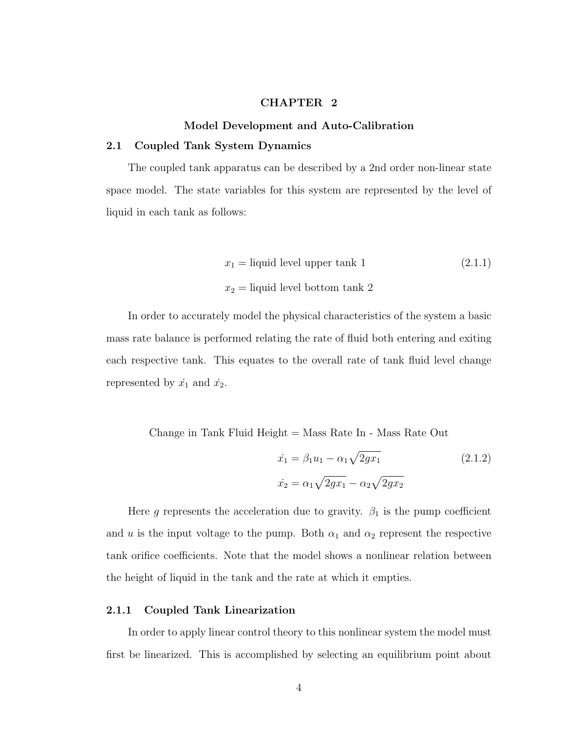#### CHAPTER 2

### Model Development and Auto-Calibration

#### <span id="page-13-1"></span><span id="page-13-0"></span>2.1 Coupled Tank System Dynamics

The coupled tank apparatus can be described by a 2nd order non-linear state space model. The state variables for this system are represented by the level of liquid in each tank as follows:

$$
x_1 = \text{liquid level upper tank 1} \tag{2.1.1}
$$
  

$$
x_2 = \text{liquid level bottom tank 2}
$$

In order to accurately model the physical characteristics of the system a basic mass rate balance is performed relating the rate of fluid both entering and exiting each respective tank. This equates to the overall rate of tank fluid level change represented by  $\dot{x_1}$  and  $\dot{x_2}$ .

Change in Tank Fluid Height = Mass Rate In - Mass Rate Out

<span id="page-13-3"></span>
$$
\dot{x}_1 = \beta_1 u_1 - \alpha_1 \sqrt{2gx_1} \tag{2.1.2}
$$
\n
$$
\dot{x}_2 = \alpha_1 \sqrt{2gx_1} - \alpha_2 \sqrt{2gx_2}
$$

Here g represents the acceleration due to gravity.  $\beta_1$  is the pump coefficient and u is the input voltage to the pump. Both  $\alpha_1$  and  $\alpha_2$  represent the respective tank orifice coefficients. Note that the model shows a nonlinear relation between the height of liquid in the tank and the rate at which it empties.

#### <span id="page-13-2"></span>2.1.1 Coupled Tank Linearization

In order to apply linear control theory to this nonlinear system the model must first be linearized. This is accomplished by selecting an equilibrium point about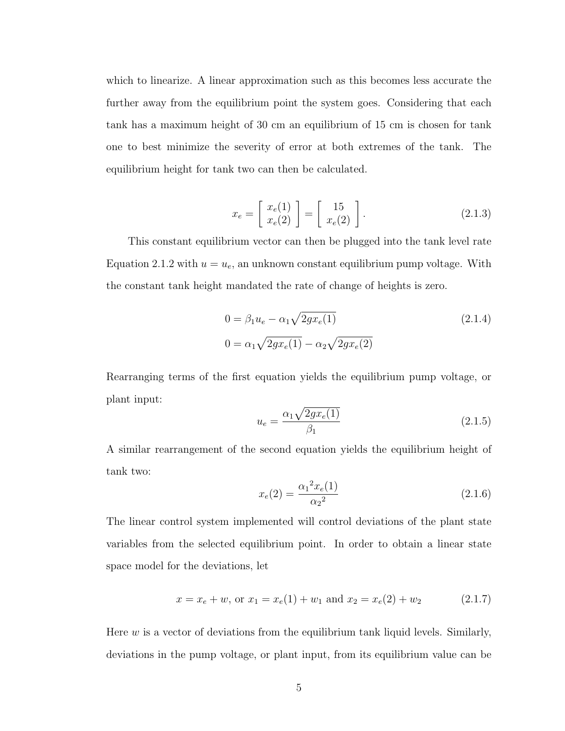which to linearize. A linear approximation such as this becomes less accurate the further away from the equilibrium point the system goes. Considering that each tank has a maximum height of 30 cm an equilibrium of 15 cm is chosen for tank one to best minimize the severity of error at both extremes of the tank. The equilibrium height for tank two can then be calculated.

$$
x_e = \begin{bmatrix} x_e(1) \\ x_e(2) \end{bmatrix} = \begin{bmatrix} 15 \\ x_e(2) \end{bmatrix}.
$$
 (2.1.3)

This constant equilibrium vector can then be plugged into the tank level rate Equation [2.1.2](#page-13-3) with  $u = u_e$ , an unknown constant equilibrium pump voltage. With the constant tank height mandated the rate of change of heights is zero.

$$
0 = \beta_1 u_e - \alpha_1 \sqrt{2gx_e(1)}
$$
  
\n
$$
0 = \alpha_1 \sqrt{2gx_e(1)} - \alpha_2 \sqrt{2gx_e(2)}
$$
\n(2.1.4)

Rearranging terms of the first equation yields the equilibrium pump voltage, or plant input:

<span id="page-14-0"></span>
$$
u_e = \frac{\alpha_1 \sqrt{2gx_e(1)}}{\beta_1} \tag{2.1.5}
$$

A similar rearrangement of the second equation yields the equilibrium height of tank two:

$$
x_e(2) = \frac{\alpha_1^2 x_e(1)}{\alpha_2^2} \tag{2.1.6}
$$

The linear control system implemented will control deviations of the plant state variables from the selected equilibrium point. In order to obtain a linear state space model for the deviations, let

$$
x = x_e + w
$$
, or  $x_1 = x_e(1) + w_1$  and  $x_2 = x_e(2) + w_2$  (2.1.7)

Here  $w$  is a vector of deviations from the equilibrium tank liquid levels. Similarly, deviations in the pump voltage, or plant input, from its equilibrium value can be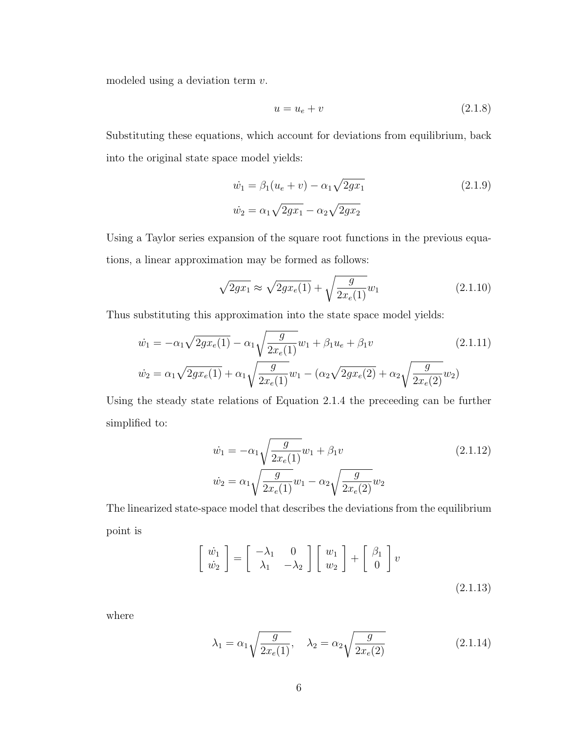modeled using a deviation term v.

$$
u = u_e + v \tag{2.1.8}
$$

Substituting these equations, which account for deviations from equilibrium, back into the original state space model yields:

$$
\dot{w_1} = \beta_1 (u_e + v) - \alpha_1 \sqrt{2gx_1} \tag{2.1.9}
$$
\n
$$
\dot{w_2} = \alpha_1 \sqrt{2gx_1} - \alpha_2 \sqrt{2gx_2}
$$

Using a Taylor series expansion of the square root functions in the previous equations, a linear approximation may be formed as follows:

$$
\sqrt{2gx_1} \approx \sqrt{2gx_e(1)} + \sqrt{\frac{g}{2x_e(1)}}w_1\tag{2.1.10}
$$

Thus substituting this approximation into the state space model yields:

$$
\dot{w}_1 = -\alpha_1 \sqrt{2gx_e(1)} - \alpha_1 \sqrt{\frac{g}{2x_e(1)}} w_1 + \beta_1 u_e + \beta_1 v
$$
\n
$$
\dot{w}_2 = \alpha_1 \sqrt{2gx_e(1)} + \alpha_1 \sqrt{\frac{g}{2x_e(1)}} w_1 - (\alpha_2 \sqrt{2gx_e(2)} + \alpha_2 \sqrt{\frac{g}{2x_e(2)}} w_2)
$$
\n(2.1.11)

Using the steady state relations of Equation [2.1.4](#page-14-0) the preceeding can be further simplified to:

$$
\dot{w}_1 = -\alpha_1 \sqrt{\frac{g}{2x_e(1)}} w_1 + \beta_1 v \qquad (2.1.12)
$$
\n
$$
\dot{w}_2 = \alpha_1 \sqrt{\frac{g}{2x_e(1)}} w_1 - \alpha_2 \sqrt{\frac{g}{2x_e(2)}} w_2
$$

The linearized state-space model that describes the deviations from the equilibrium point is

$$
\begin{bmatrix} \dot{w}_1 \\ \dot{w}_2 \end{bmatrix} = \begin{bmatrix} -\lambda_1 & 0 \\ \lambda_1 & -\lambda_2 \end{bmatrix} \begin{bmatrix} w_1 \\ w_2 \end{bmatrix} + \begin{bmatrix} \beta_1 \\ 0 \end{bmatrix} v
$$
\n(2.1.13)

where

<span id="page-15-0"></span>
$$
\lambda_1 = \alpha_1 \sqrt{\frac{g}{2x_e(1)}}, \quad \lambda_2 = \alpha_2 \sqrt{\frac{g}{2x_e(2)}}
$$
\n(2.1.14)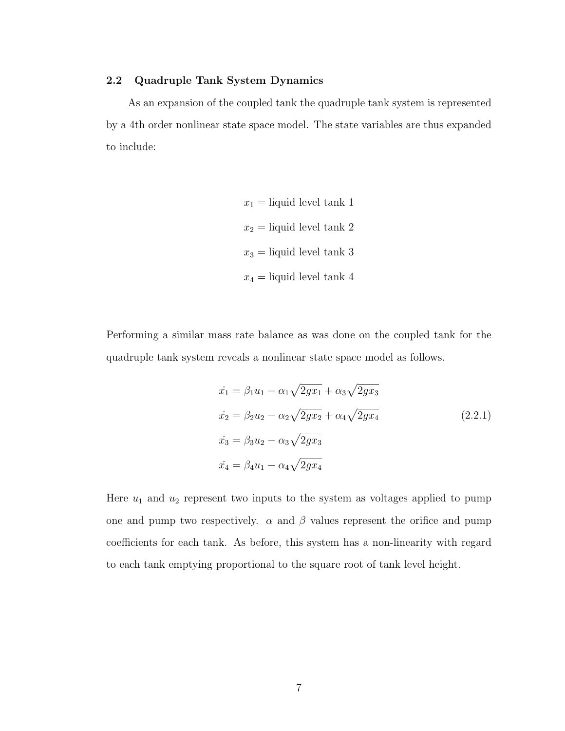#### <span id="page-16-0"></span>2.2 Quadruple Tank System Dynamics

As an expansion of the coupled tank the quadruple tank system is represented by a 4th order nonlinear state space model. The state variables are thus expanded to include:

> $x_1$  = liquid level tank 1  $x_2$  = liquid level tank 2  $x_3 =$  liquid level tank 3  $x_4$  = liquid level tank 4

Performing a similar mass rate balance as was done on the coupled tank for the quadruple tank system reveals a nonlinear state space model as follows.

$$
\begin{aligned}\n\dot{x}_1 &= \beta_1 u_1 - \alpha_1 \sqrt{2gx_1} + \alpha_3 \sqrt{2gx_3} \\
\dot{x}_2 &= \beta_2 u_2 - \alpha_2 \sqrt{2gx_2} + \alpha_4 \sqrt{2gx_4} \\
\dot{x}_3 &= \beta_3 u_2 - \alpha_3 \sqrt{2gx_3} \\
\dot{x}_4 &= \beta_4 u_1 - \alpha_4 \sqrt{2gx_4}\n\end{aligned} \tag{2.2.1}
$$

Here  $u_1$  and  $u_2$  represent two inputs to the system as voltages applied to pump one and pump two respectively.  $\alpha$  and  $\beta$  values represent the orifice and pump coefficients for each tank. As before, this system has a non-linearity with regard to each tank emptying proportional to the square root of tank level height.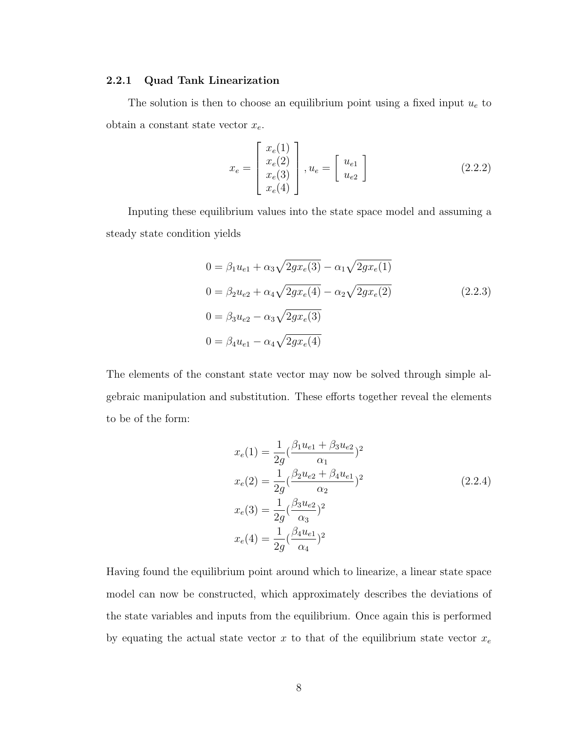#### <span id="page-17-0"></span>2.2.1 Quad Tank Linearization

The solution is then to choose an equilibrium point using a fixed input  $u<sub>e</sub>$  to obtain a constant state vector  $x_e$ .

$$
x_e = \begin{bmatrix} x_e(1) \\ x_e(2) \\ x_e(3) \\ x_e(4) \end{bmatrix}, u_e = \begin{bmatrix} u_{e1} \\ u_{e2} \end{bmatrix}
$$
 (2.2.2)

Inputing these equilibrium values into the state space model and assuming a steady state condition yields

<span id="page-17-1"></span>
$$
0 = \beta_1 u_{e1} + \alpha_3 \sqrt{2gx_e(3)} - \alpha_1 \sqrt{2gx_e(1)}
$$
  
\n
$$
0 = \beta_2 u_{e2} + \alpha_4 \sqrt{2gx_e(4)} - \alpha_2 \sqrt{2gx_e(2)}
$$
  
\n
$$
0 = \beta_3 u_{e2} - \alpha_3 \sqrt{2gx_e(3)}
$$
  
\n
$$
0 = \beta_4 u_{e1} - \alpha_4 \sqrt{2gx_e(4)}
$$
  
\n(2.2.3)

The elements of the constant state vector may now be solved through simple algebraic manipulation and substitution. These efforts together reveal the elements to be of the form:

$$
x_e(1) = \frac{1}{2g} \left( \frac{\beta_1 u_{e1} + \beta_3 u_{e2}}{\alpha_1} \right)^2
$$
  
\n
$$
x_e(2) = \frac{1}{2g} \left( \frac{\beta_2 u_{e2} + \beta_4 u_{e1}}{\alpha_2} \right)^2
$$
  
\n
$$
x_e(3) = \frac{1}{2g} \left( \frac{\beta_3 u_{e2}}{\alpha_3} \right)^2
$$
  
\n
$$
x_e(4) = \frac{1}{2g} \left( \frac{\beta_4 u_{e1}}{\alpha_4} \right)^2
$$
\n(2.2.4)

Having found the equilibrium point around which to linearize, a linear state space model can now be constructed, which approximately describes the deviations of the state variables and inputs from the equilibrium. Once again this is performed by equating the actual state vector x to that of the equilibrium state vector  $x_e$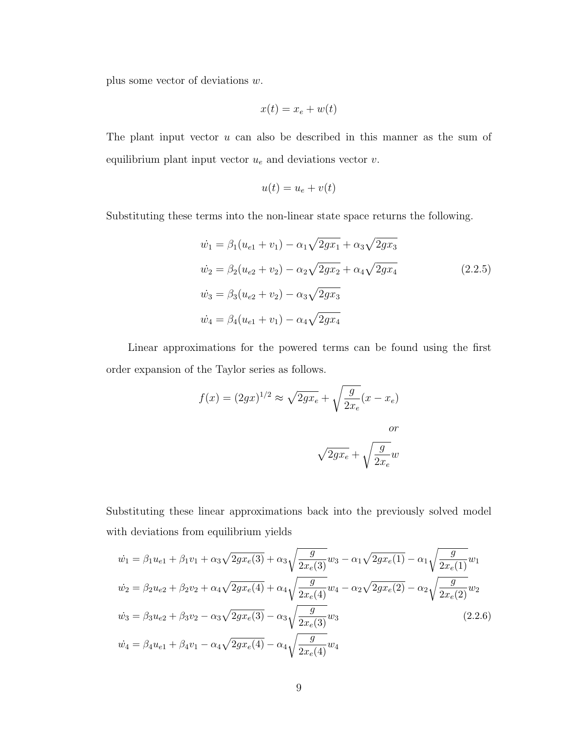plus some vector of deviations w.

$$
x(t) = x_e + w(t)
$$

The plant input vector  $u$  can also be described in this manner as the sum of equilibrium plant input vector  $u_e$  and deviations vector  $v$ .

$$
u(t) = u_e + v(t)
$$

Substituting these terms into the non-linear state space returns the following.

$$
\dot{w}_1 = \beta_1 (u_{e1} + v_1) - \alpha_1 \sqrt{2gx_1} + \alpha_3 \sqrt{2gx_3}
$$
\n
$$
\dot{w}_2 = \beta_2 (u_{e2} + v_2) - \alpha_2 \sqrt{2gx_2} + \alpha_4 \sqrt{2gx_4}
$$
\n
$$
\dot{w}_3 = \beta_3 (u_{e2} + v_2) - \alpha_3 \sqrt{2gx_3}
$$
\n
$$
\dot{w}_4 = \beta_4 (u_{e1} + v_1) - \alpha_4 \sqrt{2gx_4}
$$
\n(2.2.5)

Linear approximations for the powered terms can be found using the first order expansion of the Taylor series as follows.

$$
f(x) = (2gx)^{1/2} \approx \sqrt{2gx_e} + \sqrt{\frac{g}{2x_e}}(x - x_e)
$$
  
or  

$$
\sqrt{2gx_e} + \sqrt{\frac{g}{2x_e}}w
$$

Substituting these linear approximations back into the previously solved model with deviations from equilibrium yields

$$
\dot{w}_1 = \beta_1 u_{e1} + \beta_1 v_1 + \alpha_3 \sqrt{2gx_e(3)} + \alpha_3 \sqrt{\frac{g}{2x_e(3)}} w_3 - \alpha_1 \sqrt{2gx_e(1)} - \alpha_1 \sqrt{\frac{g}{2x_e(1)}} w_1
$$
  
\n
$$
\dot{w}_2 = \beta_2 u_{e2} + \beta_2 v_2 + \alpha_4 \sqrt{2gx_e(4)} + \alpha_4 \sqrt{\frac{g}{2x_e(4)}} w_4 - \alpha_2 \sqrt{2gx_e(2)} - \alpha_2 \sqrt{\frac{g}{2x_e(2)}} w_2
$$
  
\n
$$
\dot{w}_3 = \beta_3 u_{e2} + \beta_3 v_2 - \alpha_3 \sqrt{2gx_e(3)} - \alpha_3 \sqrt{\frac{g}{2x_e(3)}} w_3
$$
  
\n
$$
\dot{w}_4 = \beta_4 u_{e1} + \beta_4 v_1 - \alpha_4 \sqrt{2gx_e(4)} - \alpha_4 \sqrt{\frac{g}{2x_e(4)}} w_4
$$
\n(2.2.6)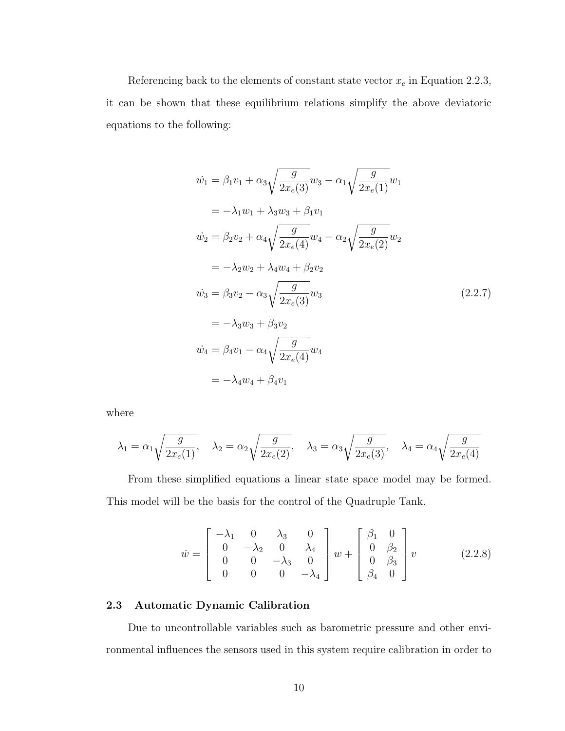Referencing back to the elements of constant state vector  $x_e$  in Equation [2.2.3,](#page-17-1) it can be shown that these equilibrium relations simplify the above deviatoric equations to the following:

$$
\dot{w}_1 = \beta_1 v_1 + \alpha_3 \sqrt{\frac{g}{2x_e(3)}} w_3 - \alpha_1 \sqrt{\frac{g}{2x_e(1)}} w_1
$$
  
\n
$$
= -\lambda_1 w_1 + \lambda_3 w_3 + \beta_1 v_1
$$
  
\n
$$
\dot{w}_2 = \beta_2 v_2 + \alpha_4 \sqrt{\frac{g}{2x_e(4)}} w_4 - \alpha_2 \sqrt{\frac{g}{2x_e(2)}} w_2
$$
  
\n
$$
= -\lambda_2 w_2 + \lambda_4 w_4 + \beta_2 v_2
$$
  
\n
$$
\dot{w}_3 = \beta_3 v_2 - \alpha_3 \sqrt{\frac{g}{2x_e(3)}} w_3
$$
  
\n
$$
= -\lambda_3 w_3 + \beta_3 v_2
$$
  
\n
$$
\dot{w}_4 = \beta_4 v_1 - \alpha_4 \sqrt{\frac{g}{2x_e(4)}} w_4
$$
  
\n
$$
= -\lambda_4 w_4 + \beta_4 v_1
$$
  
\n
$$
(2.2.7)
$$

where

$$
\lambda_1 = \alpha_1 \sqrt{\frac{g}{2x_e(1)}},
$$
,  $\lambda_2 = \alpha_2 \sqrt{\frac{g}{2x_e(2)}},$ ,  $\lambda_3 = \alpha_3 \sqrt{\frac{g}{2x_e(3)}},$ ,  $\lambda_4 = \alpha_4 \sqrt{\frac{g}{2x_e(4)}}$ 

From these simplified equations a linear state space model may be formed. This model will be the basis for the control of the Quadruple Tank.

<span id="page-19-1"></span>
$$
\dot{w} = \begin{bmatrix} -\lambda_1 & 0 & \lambda_3 & 0 \\ 0 & -\lambda_2 & 0 & \lambda_4 \\ 0 & 0 & -\lambda_3 & 0 \\ 0 & 0 & 0 & -\lambda_4 \end{bmatrix} w + \begin{bmatrix} \beta_1 & 0 \\ 0 & \beta_2 \\ 0 & \beta_3 \\ \beta_4 & 0 \end{bmatrix} v
$$
 (2.2.8)

#### <span id="page-19-0"></span>2.3 Automatic Dynamic Calibration

Due to uncontrollable variables such as barometric pressure and other environmental influences the sensors used in this system require calibration in order to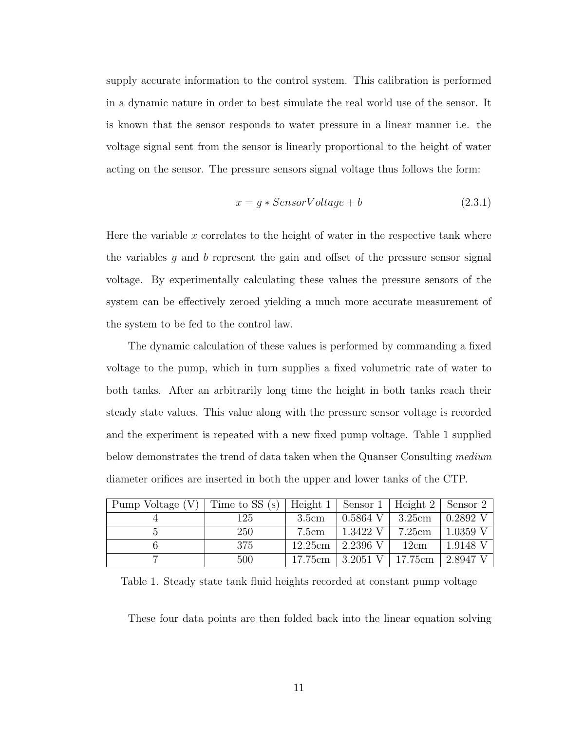supply accurate information to the control system. This calibration is performed in a dynamic nature in order to best simulate the real world use of the sensor. It is known that the sensor responds to water pressure in a linear manner i.e. the voltage signal sent from the sensor is linearly proportional to the height of water acting on the sensor. The pressure sensors signal voltage thus follows the form:

$$
x = g * SensorVoltage + b \tag{2.3.1}
$$

Here the variable  $x$  correlates to the height of water in the respective tank where the variables  $g$  and  $b$  represent the gain and offset of the pressure sensor signal voltage. By experimentally calculating these values the pressure sensors of the system can be effectively zeroed yielding a much more accurate measurement of the system to be fed to the control law.

The dynamic calculation of these values is performed by commanding a fixed voltage to the pump, which in turn supplies a fixed volumetric rate of water to both tanks. After an arbitrarily long time the height in both tanks reach their steady state values. This value along with the pressure sensor voltage is recorded and the experiment is repeated with a new fixed pump voltage. Table [1](#page-20-0) supplied below demonstrates the trend of data taken when the Quanser Consulting medium diameter orifices are inserted in both the upper and lower tanks of the CTP.

| Pump Voltage (V) | Time to SS (s) | Height 1 $\vert$ | Sensor $1$   Height $2$   Sensor $2$ |         |            |
|------------------|----------------|------------------|--------------------------------------|---------|------------|
|                  | 125            | 3.5cm            | $0.5864$ V                           | 3.25cm  | $0.2892$ V |
|                  | 250            | 7.5cm            | 1.3422 V                             | 7.25cm  | $1.0359$ V |
|                  | -375           | 12.25cm          | 2.2396 V                             | 12cm    | 1.9148 V   |
|                  | 500            | 17.75cm          | 3.2051 V                             | 17.75cm | 2.8947 V   |

<span id="page-20-0"></span>Table 1. Steady state tank fluid heights recorded at constant pump voltage

These four data points are then folded back into the linear equation solving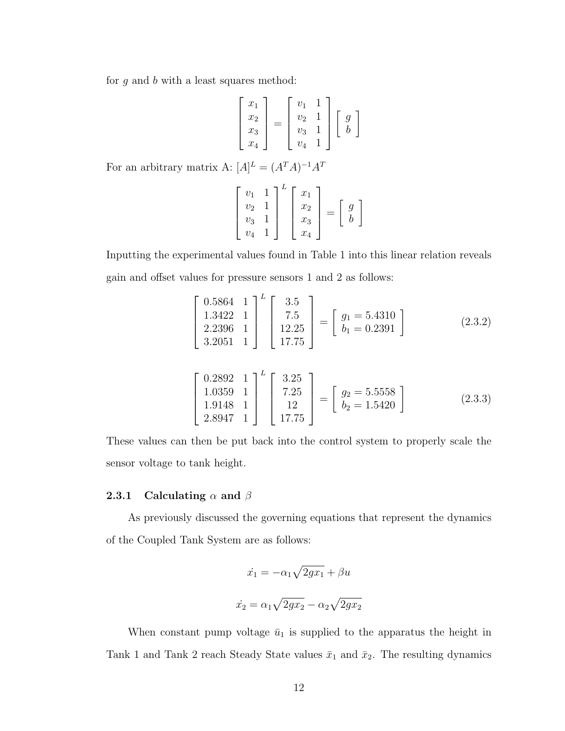for  $g$  and  $b$  with a least squares method:

$$
\begin{bmatrix} x_1 \\ x_2 \\ x_3 \\ x_4 \end{bmatrix} = \begin{bmatrix} v_1 & 1 \\ v_2 & 1 \\ v_3 & 1 \\ v_4 & 1 \end{bmatrix} \begin{bmatrix} g \\ b \end{bmatrix}
$$

For an arbitrary matrix A:  $[A]^{L} = (A^{T}A)^{-1}A^{T}$ 

$$
\begin{bmatrix} v_1 & 1 \\ v_2 & 1 \\ v_3 & 1 \\ v_4 & 1 \end{bmatrix}^L \begin{bmatrix} x_1 \\ x_2 \\ x_3 \\ x_4 \end{bmatrix} = \begin{bmatrix} g \\ b \end{bmatrix}
$$

Inputting the experimental values found in Table [1](#page-20-0) into this linear relation reveals gain and offset values for pressure sensors 1 and 2 as follows:

$$
\begin{bmatrix} 0.5864 & 1 \ 1.3422 & 1 \ 2.2396 & 1 \ 3.2051 & 1 \end{bmatrix}^{L} \begin{bmatrix} 3.5 \ 7.5 \ 12.25 \ 17.75 \end{bmatrix} = \begin{bmatrix} g_1 = 5.4310 \ b_1 = 0.2391 \end{bmatrix}
$$
 (2.3.2)

$$
\begin{bmatrix} 0.2892 & 1 \\ 1.0359 & 1 \\ 1.9148 & 1 \\ 2.8947 & 1 \end{bmatrix}^{L} \begin{bmatrix} 3.25 \\ 7.25 \\ 12 \\ 17.75 \end{bmatrix} = \begin{bmatrix} g_2 = 5.5558 \\ b_2 = 1.5420 \end{bmatrix}
$$
 (2.3.3)

These values can then be put back into the control system to properly scale the sensor voltage to tank height.

#### <span id="page-21-0"></span>2.3.1 Calculating  $\alpha$  and  $\beta$

As previously discussed the governing equations that represent the dynamics of the Coupled Tank System are as follows:

$$
\dot{x}_1 = -\alpha_1 \sqrt{2gx_1} + \beta u
$$

$$
\dot{x}_2 = \alpha_1 \sqrt{2gx_2} - \alpha_2 \sqrt{2gx_2}
$$

When constant pump voltage  $\bar{u}_1$  is supplied to the apparatus the height in Tank 1 and Tank 2 reach Steady State values  $\bar{x}_1$  and  $\bar{x}_2$ . The resulting dynamics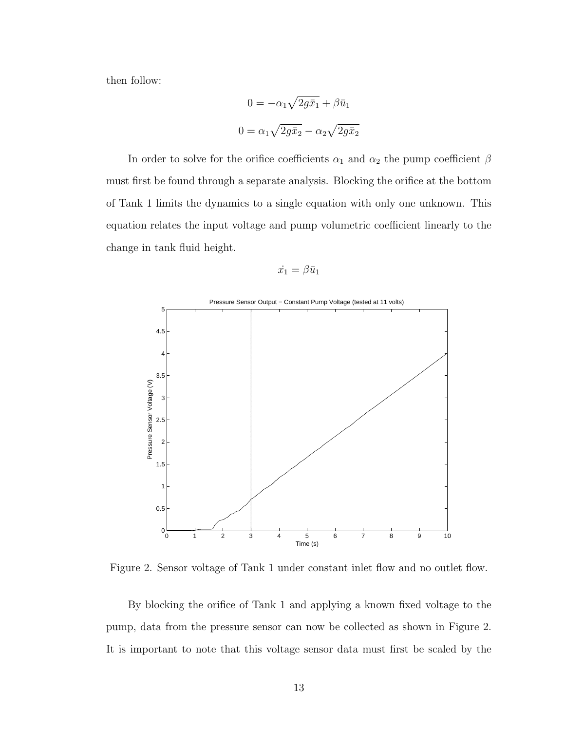then follow:

$$
0 = -\alpha_1 \sqrt{2g\bar{x}_1} + \beta \bar{u}_1
$$

$$
0 = \alpha_1 \sqrt{2g\bar{x}_2} - \alpha_2 \sqrt{2g\bar{x}_2}
$$

In order to solve for the orifice coefficients  $\alpha_1$  and  $\alpha_2$  the pump coefficient  $\beta$ must first be found through a separate analysis. Blocking the orifice at the bottom of Tank 1 limits the dynamics to a single equation with only one unknown. This equation relates the input voltage and pump volumetric coefficient linearly to the change in tank fluid height.

$$
\dot{x_1} = \beta \bar{u}_1
$$



<span id="page-22-0"></span>Figure 2. Sensor voltage of Tank 1 under constant inlet flow and no outlet flow.

By blocking the orifice of Tank 1 and applying a known fixed voltage to the pump, data from the pressure sensor can now be collected as shown in Figure 2. It is important to note that this voltage sensor data must first be scaled by the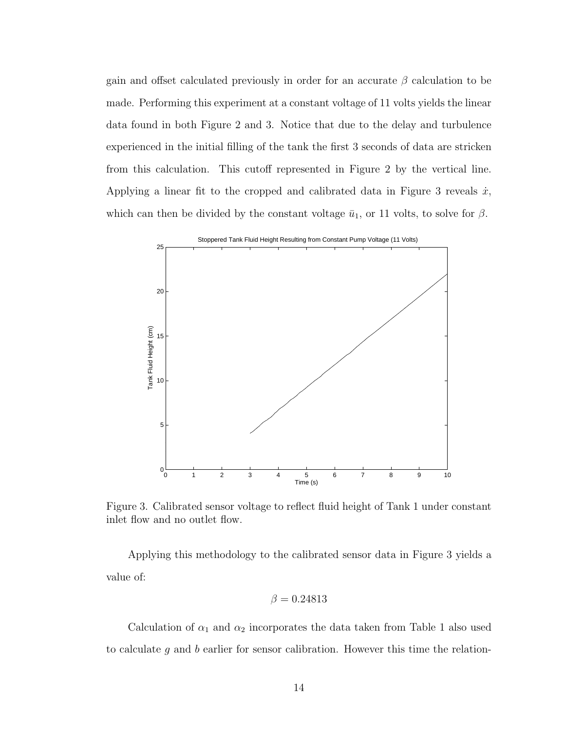gain and offset calculated previously in order for an accurate  $\beta$  calculation to be made. Performing this experiment at a constant voltage of 11 volts yields the linear data found in both Figure 2 and 3. Notice that due to the delay and turbulence experienced in the initial filling of the tank the first 3 seconds of data are stricken from this calculation. This cutoff represented in Figure 2 by the vertical line. Applying a linear fit to the cropped and calibrated data in Figure 3 reveals  $\dot{x}$ , which can then be divided by the constant voltage  $\bar{u}_1$ , or 11 volts, to solve for  $\beta$ .



<span id="page-23-0"></span>Figure 3. Calibrated sensor voltage to reflect fluid height of Tank 1 under constant inlet flow and no outlet flow.

Applying this methodology to the calibrated sensor data in Figure 3 yields a value of:

$$
\beta = 0.24813
$$

Calculation of  $\alpha_1$  and  $\alpha_2$  incorporates the data taken from Table [1](#page-20-0) also used to calculate  $g$  and  $b$  earlier for sensor calibration. However this time the relation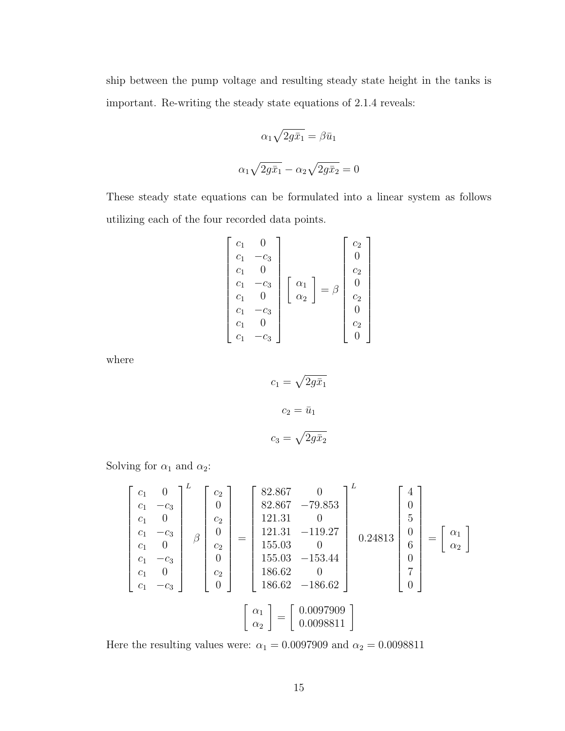ship between the pump voltage and resulting steady state height in the tanks is important. Re-writing the steady state equations of [2.1.4](#page-14-0) reveals:

$$
\alpha_1 \sqrt{2g\bar{x}_1} = \beta \bar{u}_1
$$

$$
\alpha_1 \sqrt{2g\bar{x}_1} - \alpha_2 \sqrt{2g\bar{x}_2} = 0
$$

These steady state equations can be formulated into a linear system as follows utilizing each of the four recorded data points.

$$
\begin{bmatrix} c_1 & 0 \ c_1 & -c_3 \ c_1 & 0 \ c_1 & 0 \ c_1 & 0 \ c_1 & 0 \ c_1 & -c_3 \ c_1 & 0 \ c_1 & 0 \ c_1 & -c_3 \ c_1 & -c_3 \end{bmatrix} \begin{bmatrix} \alpha_1 \\ \alpha_2 \end{bmatrix} = \beta \begin{bmatrix} c_2 \\ 0 \\ c_2 \\ c_2 \\ 0 \\ c_2 \\ 0 \end{bmatrix}
$$

where

$$
c_1 = \sqrt{2g\bar{x}_1}
$$

$$
c_2 = \bar{u}_1
$$

$$
c_3 = \sqrt{2g\bar{x}_2}
$$

Solving for  $\alpha_1$  and  $\alpha_2$  :

 c<sup>1</sup> 0 c<sup>1</sup> −c<sup>3</sup> c<sup>1</sup> 0 c<sup>1</sup> −c<sup>3</sup> c<sup>1</sup> 0 c<sup>1</sup> −c<sup>3</sup> c<sup>1</sup> 0 c<sup>1</sup> −c<sup>3</sup> L β c2 0 c2 0 c2 0 c2 0 = 82.867 0 82.867 −79.853 121.31 0 121.31 −119.27 155.03 0 155.03 −153.44 186.62 0 186.62 −186.62 L 0.24813 4 0 5 0 6 0 7 0 = α1 α2 α1 α2 = 0.0097909 <sup>0</sup>.<sup>0098811</sup>

Here the resulting values were:  $\alpha_1=0.0097909$  and  $\alpha_2=0.0098811$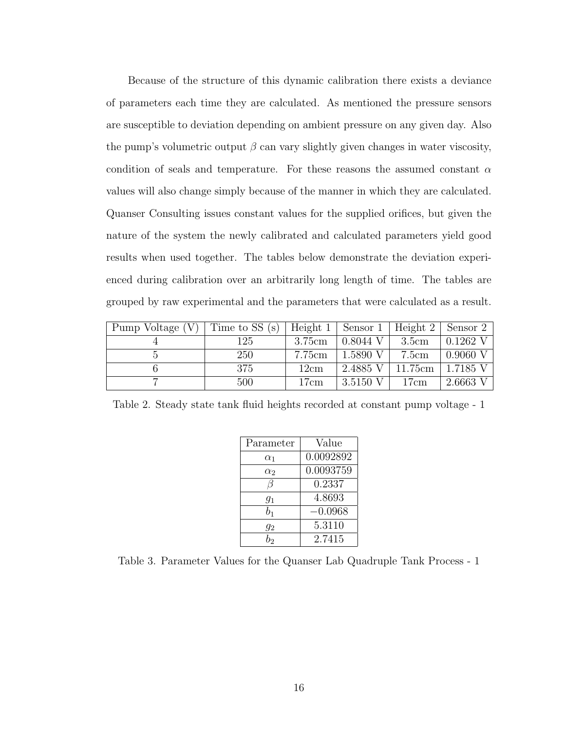Because of the structure of this dynamic calibration there exists a deviance of parameters each time they are calculated. As mentioned the pressure sensors are susceptible to deviation depending on ambient pressure on any given day. Also the pump's volumetric output  $\beta$  can vary slightly given changes in water viscosity, condition of seals and temperature. For these reasons the assumed constant  $\alpha$ values will also change simply because of the manner in which they are calculated. Quanser Consulting issues constant values for the supplied orifices, but given the nature of the system the newly calibrated and calculated parameters yield good results when used together. The tables below demonstrate the deviation experienced during calibration over an arbitrarily long length of time. The tables are grouped by raw experimental and the parameters that were calculated as a result.

| Pump Voltage $(V)$ | Time to SS (s)   Height 1   Sensor 1   Height 2   Sensor 2 |        |            |         |            |
|--------------------|------------------------------------------------------------|--------|------------|---------|------------|
|                    | 125                                                        | 3.75cm | $0.8044$ V | 3.5cm   | $0.1262$ V |
|                    | <b>250</b>                                                 | 7.75cm | 1.5890 V   | 7.5cm   | $0.9060$ V |
|                    | 375                                                        | 12cm   | 2.4885 V   | 11.75cm | 1.7185 V   |
|                    | 500                                                        | 17cm   | 3.5150 V   | 17cm    | 2.6663 V   |

<span id="page-25-0"></span>Table 2. Steady state tank fluid heights recorded at constant pump voltage - 1

| Parameter  | Value     |
|------------|-----------|
| $\alpha_1$ | 0.0092892 |
| $\alpha_2$ | 0.0093759 |
|            | 0.2337    |
| $g_1$      | 4.8693    |
| $b_{1}$    | $-0.0968$ |
| 92         | 5.3110    |
| h,         | 2.7415    |

<span id="page-25-1"></span>Table 3. Parameter Values for the Quanser Lab Quadruple Tank Process - 1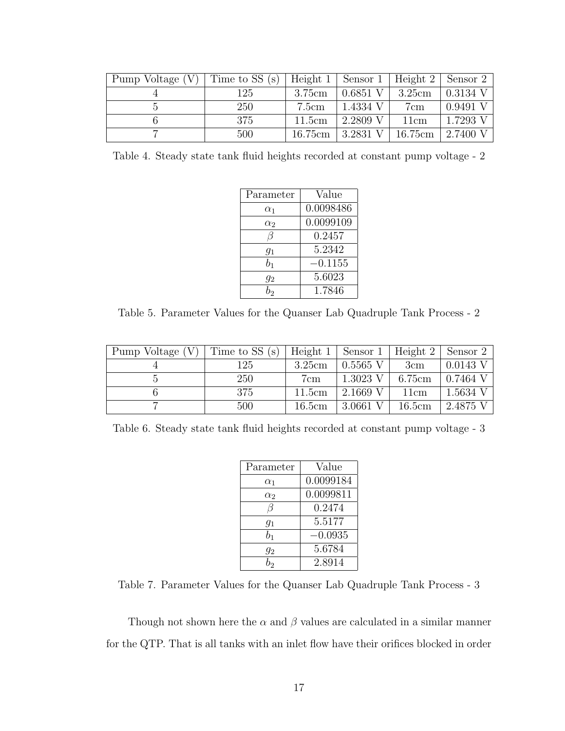| Pump Voltage $(V)$ | Time to SS (s)   Height 1   Sensor 1   Height 2   Sensor 2 |        |                          |                 |                       |
|--------------------|------------------------------------------------------------|--------|--------------------------|-----------------|-----------------------|
|                    | 125                                                        | 3.75cm | $\vert$ 0.6851 V $\vert$ | $3.25cm$        | $\overline{0.3134}$ V |
|                    | 250                                                        | 7.5cm  | 1.4334 V                 | 7cm             | 0.9491 V              |
|                    | 375                                                        | 11.5cm | 2.2809 V                 | 11cm            | 1.7293 V              |
|                    | 500                                                        |        | 16.75cm   3.2831 V       | $\vert$ 16.75cm | 2.7400 V              |

<span id="page-26-0"></span>Table 4. Steady state tank fluid heights recorded at constant pump voltage - 2

| Parameter  | Value     |  |
|------------|-----------|--|
| $\alpha_1$ | 0.0098486 |  |
| $\alpha_2$ | 0.0099109 |  |
|            | 0.2457    |  |
| $g_1$      | 5.2342    |  |
| $b_{1}$    | $-0.1155$ |  |
| $g_2$      | 5.6023    |  |
|            | 1.7846    |  |

<span id="page-26-1"></span>Table 5. Parameter Values for the Quanser Lab Quadruple Tank Process - 2

| Pump Voltage $(V)$ | Time to $SS(s)$ | Height $1$ | $\perp$ Sensor 1 | Height 2 | Sensor 2   |
|--------------------|-----------------|------------|------------------|----------|------------|
|                    | 125             | 3.25cm     | $0.5565$ V       | 3cm      | $0.0143$ V |
|                    | 250             | 7cm        | $1.3023$ V       | 6.75cm   | $0.7464$ V |
|                    | 375             | 11.5cm     | $2.1669$ V       | 11cm     | 1.5634 V   |
|                    | 500             | 16.5cm     | 3.0661 V         | 16.5cm   | 2.4875     |

<span id="page-26-2"></span>Table 6. Steady state tank fluid heights recorded at constant pump voltage - 3

| Parameter  | Value     |
|------------|-----------|
| $\alpha_1$ | 0.0099184 |
| $\alpha_2$ | 0.0099811 |
| В          | 0.2474    |
| $g_1$      | 5.5177    |
| $b_1$      | $-0.0935$ |
| $g_2$      | 5.6784    |
| b,         | 2.8914    |

<span id="page-26-3"></span>Table 7. Parameter Values for the Quanser Lab Quadruple Tank Process - 3

Though not shown here the  $\alpha$  and  $\beta$  values are calculated in a similar manner for the QTP. That is all tanks with an inlet flow have their orifices blocked in order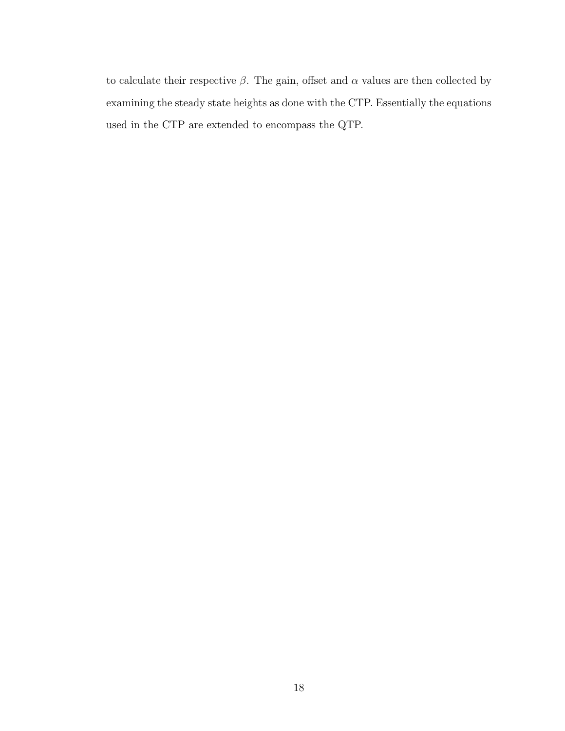to calculate their respective  $\beta$ . The gain, offset and  $\alpha$  values are then collected by examining the steady state heights as done with the CTP. Essentially the equations used in the CTP are extended to encompass the QTP.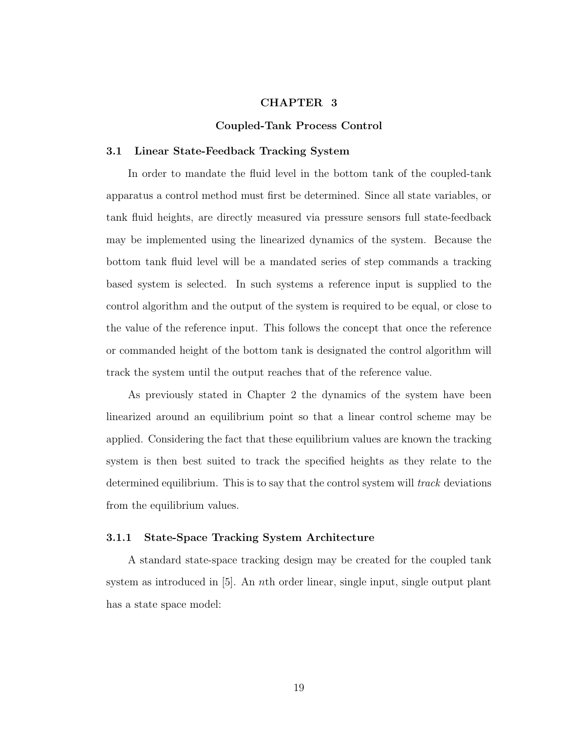#### CHAPTER 3

#### Coupled-Tank Process Control

#### <span id="page-28-1"></span><span id="page-28-0"></span>3.1 Linear State-Feedback Tracking System

In order to mandate the fluid level in the bottom tank of the coupled-tank apparatus a control method must first be determined. Since all state variables, or tank fluid heights, are directly measured via pressure sensors full state-feedback may be implemented using the linearized dynamics of the system. Because the bottom tank fluid level will be a mandated series of step commands a tracking based system is selected. In such systems a reference input is supplied to the control algorithm and the output of the system is required to be equal, or close to the value of the reference input. This follows the concept that once the reference or commanded height of the bottom tank is designated the control algorithm will track the system until the output reaches that of the reference value.

As previously stated in Chapter 2 the dynamics of the system have been linearized around an equilibrium point so that a linear control scheme may be applied. Considering the fact that these equilibrium values are known the tracking system is then best suited to track the specified heights as they relate to the determined equilibrium. This is to say that the control system will *track* deviations from the equilibrium values.

#### <span id="page-28-2"></span>3.1.1 State-Space Tracking System Architecture

A standard state-space tracking design may be created for the coupled tank system as introduced in [\[5\]](#page-59-6). An nth order linear, single input, single output plant has a state space model: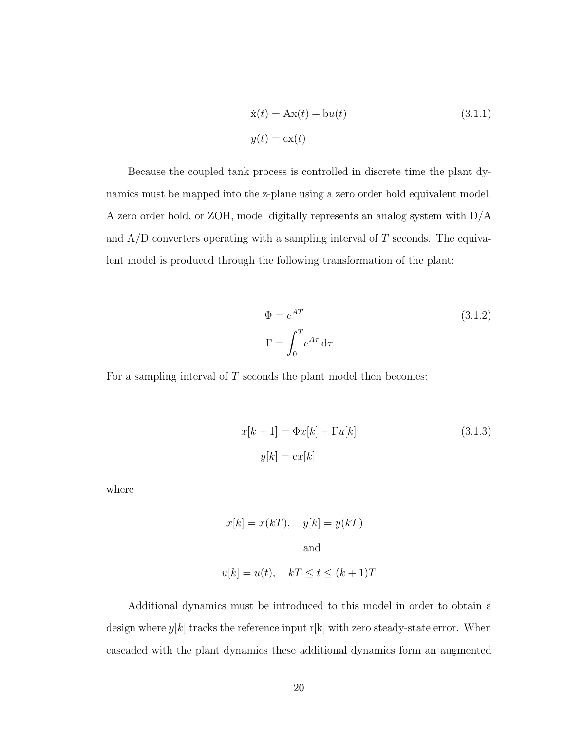$$
\dot{\mathbf{x}}(t) = \mathbf{A}\mathbf{x}(t) + \mathbf{b}u(t)
$$
\n
$$
y(t) = \mathbf{c}\mathbf{x}(t)
$$
\n(3.1.1)

Because the coupled tank process is controlled in discrete time the plant dynamics must be mapped into the z-plane using a zero order hold equivalent model. A zero order hold, or ZOH, model digitally represents an analog system with D/A and  $A/D$  converters operating with a sampling interval of T seconds. The equivalent model is produced through the following transformation of the plant:

$$
\Phi = e^{AT}
$$
\n
$$
\Gamma = \int_0^T e^{A\tau} d\tau
$$
\n(3.1.2)

For a sampling interval of  $T$  seconds the plant model then becomes:

<span id="page-29-0"></span>
$$
x[k+1] = \Phi x[k] + \Gamma u[k]
$$
\n
$$
y[k] = \operatorname{cx}[k]
$$
\n(3.1.3)

where

$$
x[k] = x(kT),
$$
  $y[k] = y(kT)$   
and

$$
u[k] = u(t), \quad kT \le t \le (k+1)T
$$

Additional dynamics must be introduced to this model in order to obtain a design where  $y[k]$  tracks the reference input r[k] with zero steady-state error. When cascaded with the plant dynamics these additional dynamics form an augmented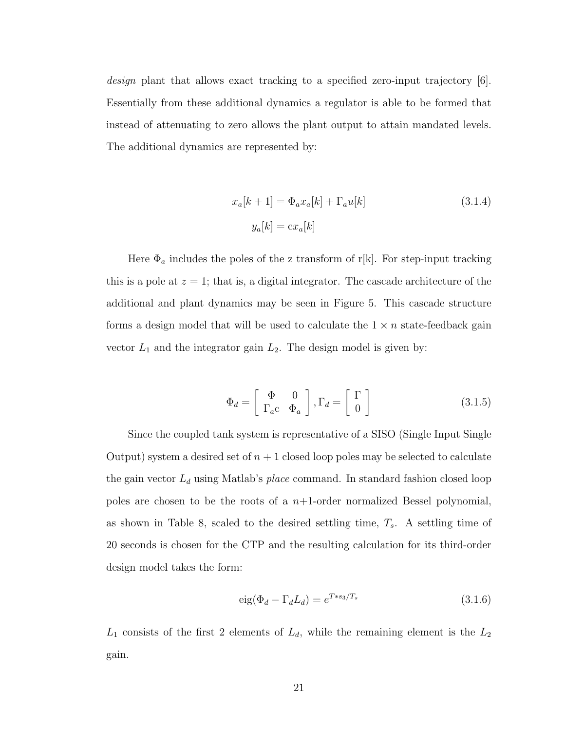design plant that allows exact tracking to a specified zero-input trajectory [\[6\]](#page-59-1). Essentially from these additional dynamics a regulator is able to be formed that instead of attenuating to zero allows the plant output to attain mandated levels. The additional dynamics are represented by:

<span id="page-30-0"></span>
$$
x_a[k+1] = \Phi_a x_a[k] + \Gamma_a u[k]
$$
\n
$$
y_a[k] = \operatorname{cx}_a[k]
$$
\n(3.1.4)

Here  $\Phi_a$  includes the poles of the z transform of r[k]. For step-input tracking this is a pole at  $z = 1$ ; that is, a digital integrator. The cascade architecture of the additional and plant dynamics may be seen in Figure [5.](#page-32-0) This cascade structure forms a design model that will be used to calculate the  $1 \times n$  state-feedback gain vector  $L_1$  and the integrator gain  $L_2$ . The design model is given by:

$$
\Phi_d = \begin{bmatrix} \Phi & 0\\ \Gamma_a c & \Phi_a \end{bmatrix}, \Gamma_d = \begin{bmatrix} \Gamma\\ 0 \end{bmatrix}
$$
 (3.1.5)

Since the coupled tank system is representative of a SISO (Single Input Single Output) system a desired set of  $n + 1$  closed loop poles may be selected to calculate the gain vector  $L_d$  using Matlab's *place* command. In standard fashion closed loop poles are chosen to be the roots of a  $n+1$ -order normalized Bessel polynomial, as shown in Table [8,](#page-31-0) scaled to the desired settling time,  $T_s$ . A settling time of 20 seconds is chosen for the CTP and the resulting calculation for its third-order design model takes the form:

$$
eig(\Phi_d - \Gamma_d L_d) = e^{T*s_3/T_s}
$$
\n(3.1.6)

 $L_1$  consists of the first 2 elements of  $L_d$ , while the remaining element is the  $L_2$ gain.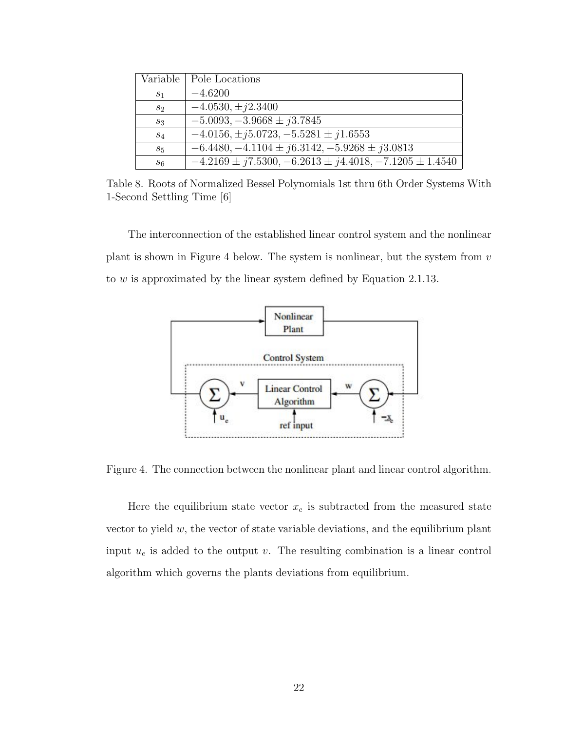|                | Variable   Pole Locations                                      |
|----------------|----------------------------------------------------------------|
| S <sub>1</sub> | $-4.6200$                                                      |
| $s_2$          | $-4.0530, \pm i2.3400$                                         |
| $S_3$          | $-5.0093, -3.9668 \pm i3.7845$                                 |
| $S_4$          | $-4.0156, \pm j5.0723, -5.5281 \pm j1.6553$                    |
| $s_5$          | $-6.4480, -4.1104 \pm i6.3142, -5.9268 \pm i3.0813$            |
| $s_{6}$        | $-4.2169 \pm j7.5300, -6.2613 \pm j4.4018, -7.1205 \pm 1.4540$ |

<span id="page-31-0"></span>Table 8. Roots of Normalized Bessel Polynomials 1st thru 6th Order Systems With 1-Second Settling Time [\[6\]](#page-59-1)

The interconnection of the established linear control system and the nonlinear plant is shown in Figure [4](#page-31-1) below. The system is nonlinear, but the system from  $v$ to w is approximated by the linear system defined by Equation [2.1.13.](#page-15-0)



<span id="page-31-1"></span>Figure 4. The connection between the nonlinear plant and linear control algorithm.

Here the equilibrium state vector  $x_e$  is subtracted from the measured state vector to yield  $w$ , the vector of state variable deviations, and the equilibrium plant input  $u_e$  is added to the output v. The resulting combination is a linear control algorithm which governs the plants deviations from equilibrium.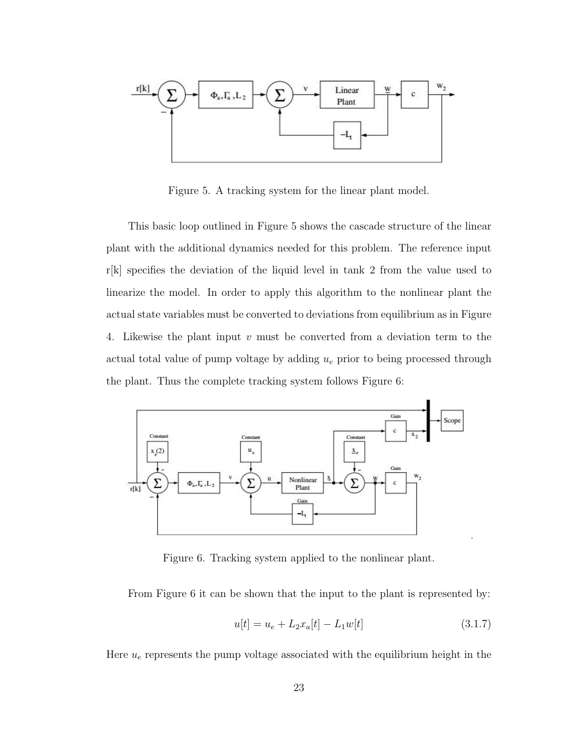

<span id="page-32-0"></span>Figure 5. A tracking system for the linear plant model.

This basic loop outlined in Figure [5](#page-32-0) shows the cascade structure of the linear plant with the additional dynamics needed for this problem. The reference input r[k] specifies the deviation of the liquid level in tank 2 from the value used to linearize the model. In order to apply this algorithm to the nonlinear plant the actual state variables must be converted to deviations from equilibrium as in Figure [4.](#page-31-1) Likewise the plant input v must be converted from a deviation term to the actual total value of pump voltage by adding  $u_e$  prior to being processed through the plant. Thus the complete tracking system follows Figure [6:](#page-32-1)



<span id="page-32-1"></span>Figure 6. Tracking system applied to the nonlinear plant.

From Figure [6](#page-32-1) it can be shown that the input to the plant is represented by:

<span id="page-32-2"></span>
$$
u[t] = u_e + L_2 x_a[t] - L_1 w[t] \tag{3.1.7}
$$

Here  $u_e$  represents the pump voltage associated with the equilibrium height in the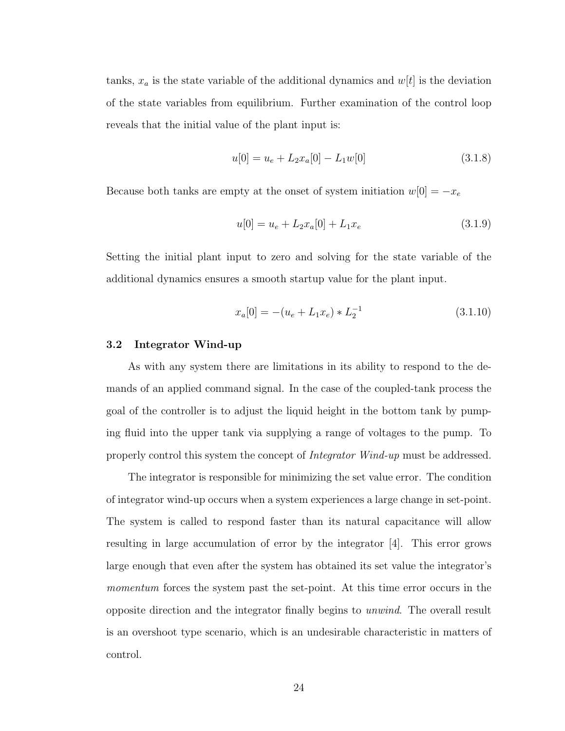tanks,  $x_a$  is the state variable of the additional dynamics and  $w[t]$  is the deviation of the state variables from equilibrium. Further examination of the control loop reveals that the initial value of the plant input is:

$$
u[0] = u_e + L_2 x_a[0] - L_1 w[0] \tag{3.1.8}
$$

Because both tanks are empty at the onset of system initiation  $w[0] = -x_e$ 

$$
u[0] = u_e + L_2 x_a[0] + L_1 x_e \tag{3.1.9}
$$

Setting the initial plant input to zero and solving for the state variable of the additional dynamics ensures a smooth startup value for the plant input.

$$
x_a[0] = -(u_e + L_1 x_e) * L_2^{-1}
$$
\n(3.1.10)

#### <span id="page-33-0"></span>3.2 Integrator Wind-up

As with any system there are limitations in its ability to respond to the demands of an applied command signal. In the case of the coupled-tank process the goal of the controller is to adjust the liquid height in the bottom tank by pumping fluid into the upper tank via supplying a range of voltages to the pump. To properly control this system the concept of Integrator Wind-up must be addressed.

The integrator is responsible for minimizing the set value error. The condition of integrator wind-up occurs when a system experiences a large change in set-point. The system is called to respond faster than its natural capacitance will allow resulting in large accumulation of error by the integrator [\[4\]](#page-59-5). This error grows large enough that even after the system has obtained its set value the integrator's momentum forces the system past the set-point. At this time error occurs in the opposite direction and the integrator finally begins to unwind. The overall result is an overshoot type scenario, which is an undesirable characteristic in matters of control.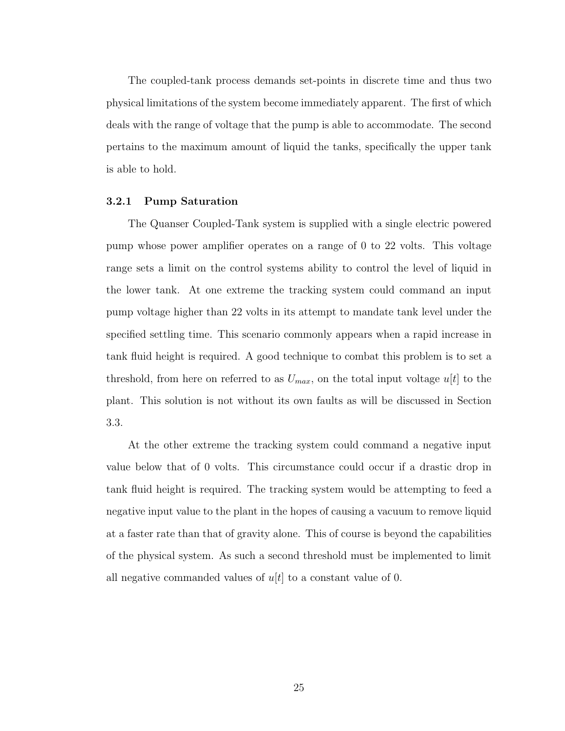The coupled-tank process demands set-points in discrete time and thus two physical limitations of the system become immediately apparent. The first of which deals with the range of voltage that the pump is able to accommodate. The second pertains to the maximum amount of liquid the tanks, specifically the upper tank is able to hold.

#### <span id="page-34-0"></span>3.2.1 Pump Saturation

The Quanser Coupled-Tank system is supplied with a single electric powered pump whose power amplifier operates on a range of 0 to 22 volts. This voltage range sets a limit on the control systems ability to control the level of liquid in the lower tank. At one extreme the tracking system could command an input pump voltage higher than 22 volts in its attempt to mandate tank level under the specified settling time. This scenario commonly appears when a rapid increase in tank fluid height is required. A good technique to combat this problem is to set a threshold, from here on referred to as  $U_{max}$ , on the total input voltage  $u[t]$  to the plant. This solution is not without its own faults as will be discussed in Section [3.3.](#page-36-0)

At the other extreme the tracking system could command a negative input value below that of 0 volts. This circumstance could occur if a drastic drop in tank fluid height is required. The tracking system would be attempting to feed a negative input value to the plant in the hopes of causing a vacuum to remove liquid at a faster rate than that of gravity alone. This of course is beyond the capabilities of the physical system. As such a second threshold must be implemented to limit all negative commanded values of  $u[t]$  to a constant value of 0.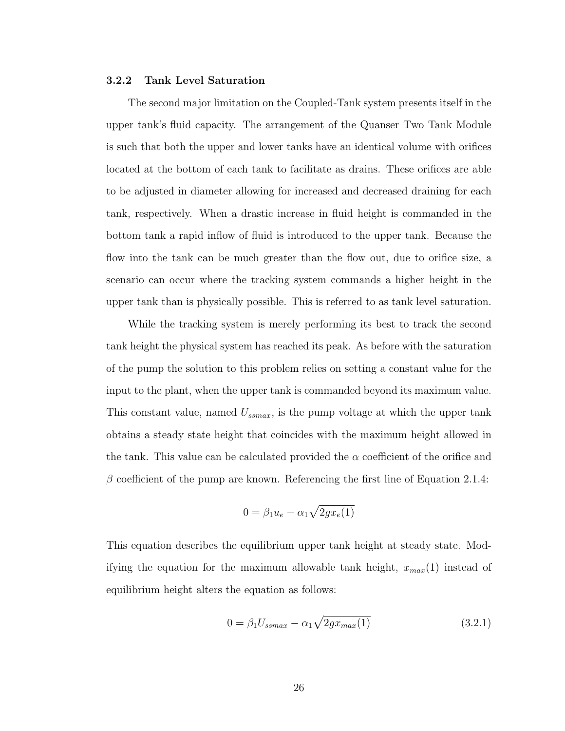#### <span id="page-35-0"></span>3.2.2 Tank Level Saturation

The second major limitation on the Coupled-Tank system presents itself in the upper tank's fluid capacity. The arrangement of the Quanser Two Tank Module is such that both the upper and lower tanks have an identical volume with orifices located at the bottom of each tank to facilitate as drains. These orifices are able to be adjusted in diameter allowing for increased and decreased draining for each tank, respectively. When a drastic increase in fluid height is commanded in the bottom tank a rapid inflow of fluid is introduced to the upper tank. Because the flow into the tank can be much greater than the flow out, due to orifice size, a scenario can occur where the tracking system commands a higher height in the upper tank than is physically possible. This is referred to as tank level saturation.

While the tracking system is merely performing its best to track the second tank height the physical system has reached its peak. As before with the saturation of the pump the solution to this problem relies on setting a constant value for the input to the plant, when the upper tank is commanded beyond its maximum value. This constant value, named  $U_{ssmax}$ , is the pump voltage at which the upper tank obtains a steady state height that coincides with the maximum height allowed in the tank. This value can be calculated provided the  $\alpha$  coefficient of the orifice and  $\beta$  coefficient of the pump are known. Referencing the first line of Equation [2.1.4:](#page-14-0)

$$
0 = \beta_1 u_e - \alpha_1 \sqrt{2gx_e(1)}
$$

This equation describes the equilibrium upper tank height at steady state. Modifying the equation for the maximum allowable tank height,  $x_{max}(1)$  instead of equilibrium height alters the equation as follows:

$$
0 = \beta_1 U_{ssmax} - \alpha_1 \sqrt{2gx_{max}(1)}
$$
 (3.2.1)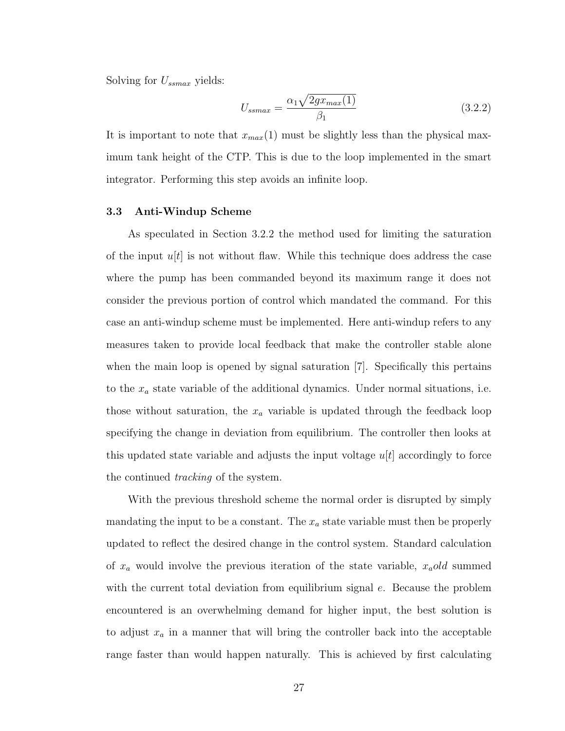Solving for  $U_{ssmax}$  yields:

$$
U_{ssmax} = \frac{\alpha_1 \sqrt{2gx_{max}(1)}}{\beta_1} \tag{3.2.2}
$$

It is important to note that  $x_{max}(1)$  must be slightly less than the physical maximum tank height of the CTP. This is due to the loop implemented in the smart integrator. Performing this step avoids an infinite loop.

#### <span id="page-36-0"></span>3.3 Anti-Windup Scheme

As speculated in Section [3.2.2](#page-35-0) the method used for limiting the saturation of the input  $u|t|$  is not without flaw. While this technique does address the case where the pump has been commanded beyond its maximum range it does not consider the previous portion of control which mandated the command. For this case an anti-windup scheme must be implemented. Here anti-windup refers to any measures taken to provide local feedback that make the controller stable alone when the main loop is opened by signal saturation [\[7\]](#page-59-7). Specifically this pertains to the  $x_a$  state variable of the additional dynamics. Under normal situations, i.e. those without saturation, the  $x_a$  variable is updated through the feedback loop specifying the change in deviation from equilibrium. The controller then looks at this updated state variable and adjusts the input voltage  $u[t]$  accordingly to force the continued tracking of the system.

With the previous threshold scheme the normal order is disrupted by simply mandating the input to be a constant. The  $x_a$  state variable must then be properly updated to reflect the desired change in the control system. Standard calculation of  $x_a$  would involve the previous iteration of the state variable,  $x_a$ old summed with the current total deviation from equilibrium signal  $e$ . Because the problem encountered is an overwhelming demand for higher input, the best solution is to adjust  $x_a$  in a manner that will bring the controller back into the acceptable range faster than would happen naturally. This is achieved by first calculating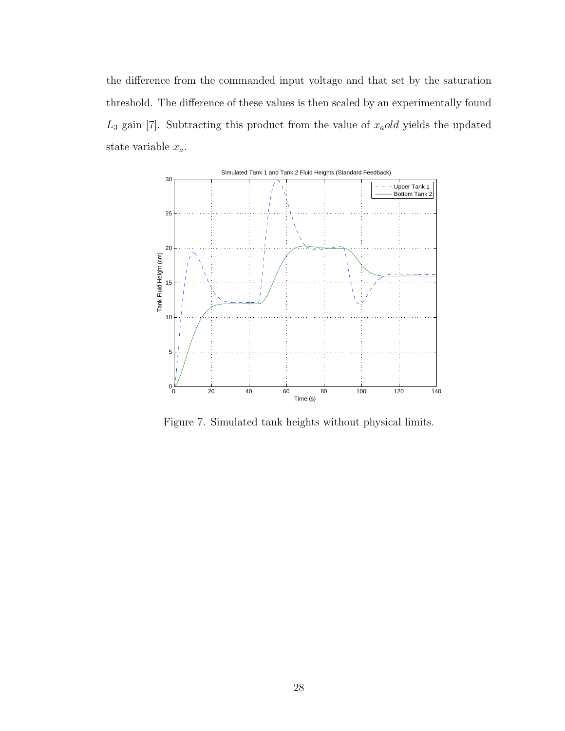the difference from the commanded input voltage and that set by the saturation threshold. The difference of these values is then scaled by an experimentally found  $L_3$  gain [\[7\]](#page-59-7). Subtracting this product from the value of  $x_a$ old yields the updated state variable  $x_a$ .



<span id="page-37-0"></span>Figure 7. Simulated tank heights without physical limits.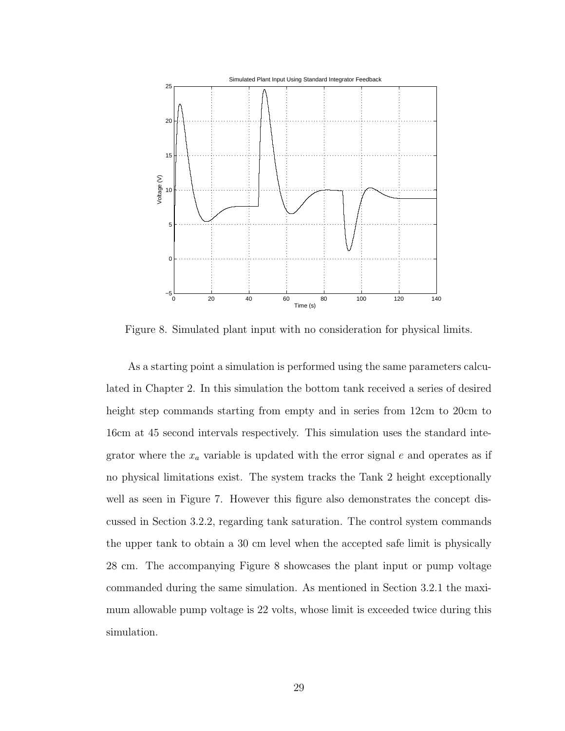

<span id="page-38-0"></span>Figure 8. Simulated plant input with no consideration for physical limits.

As a starting point a simulation is performed using the same parameters calculated in Chapter 2. In this simulation the bottom tank received a series of desired height step commands starting from empty and in series from 12cm to 20cm to 16cm at 45 second intervals respectively. This simulation uses the standard integrator where the  $x_a$  variable is updated with the error signal e and operates as if no physical limitations exist. The system tracks the Tank 2 height exceptionally well as seen in Figure [7.](#page-37-0) However this figure also demonstrates the concept discussed in Section [3.2.2,](#page-35-0) regarding tank saturation. The control system commands the upper tank to obtain a 30 cm level when the accepted safe limit is physically 28 cm. The accompanying Figure [8](#page-38-0) showcases the plant input or pump voltage commanded during the same simulation. As mentioned in Section [3.2.1](#page-34-0) the maximum allowable pump voltage is 22 volts, whose limit is exceeded twice during this simulation.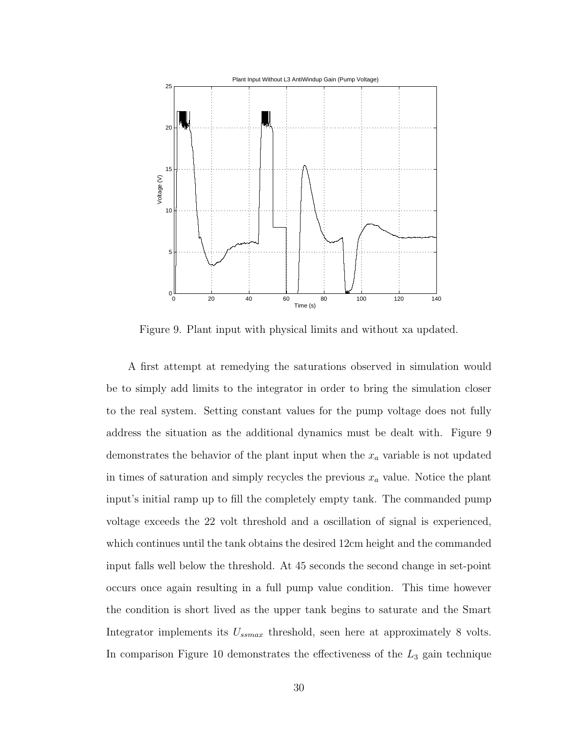

<span id="page-39-0"></span>Figure 9. Plant input with physical limits and without xa updated.

A first attempt at remedying the saturations observed in simulation would be to simply add limits to the integrator in order to bring the simulation closer to the real system. Setting constant values for the pump voltage does not fully address the situation as the additional dynamics must be dealt with. Figure [9](#page-39-0) demonstrates the behavior of the plant input when the  $x_a$  variable is not updated in times of saturation and simply recycles the previous  $x_a$  value. Notice the plant input's initial ramp up to fill the completely empty tank. The commanded pump voltage exceeds the 22 volt threshold and a oscillation of signal is experienced, which continues until the tank obtains the desired 12cm height and the commanded input falls well below the threshold. At 45 seconds the second change in set-point occurs once again resulting in a full pump value condition. This time however the condition is short lived as the upper tank begins to saturate and the Smart Integrator implements its  $U_{\text{ssmax}}$  threshold, seen here at approximately 8 volts. In comparison Figure [10](#page-40-1) demonstrates the effectiveness of the  $L_3$  gain technique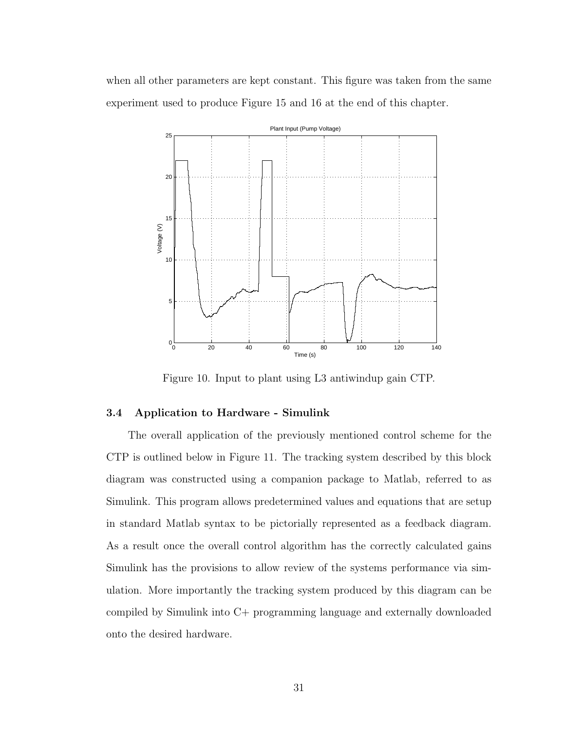when all other parameters are kept constant. This figure was taken from the same experiment used to produce Figure [15](#page-45-1) and [16](#page-46-0) at the end of this chapter.



<span id="page-40-1"></span>Figure 10. Input to plant using L3 antiwindup gain CTP.

#### <span id="page-40-0"></span>3.4 Application to Hardware - Simulink

The overall application of the previously mentioned control scheme for the CTP is outlined below in Figure [11.](#page-41-0) The tracking system described by this block diagram was constructed using a companion package to Matlab, referred to as Simulink. This program allows predetermined values and equations that are setup in standard Matlab syntax to be pictorially represented as a feedback diagram. As a result once the overall control algorithm has the correctly calculated gains Simulink has the provisions to allow review of the systems performance via simulation. More importantly the tracking system produced by this diagram can be compiled by Simulink into C+ programming language and externally downloaded onto the desired hardware.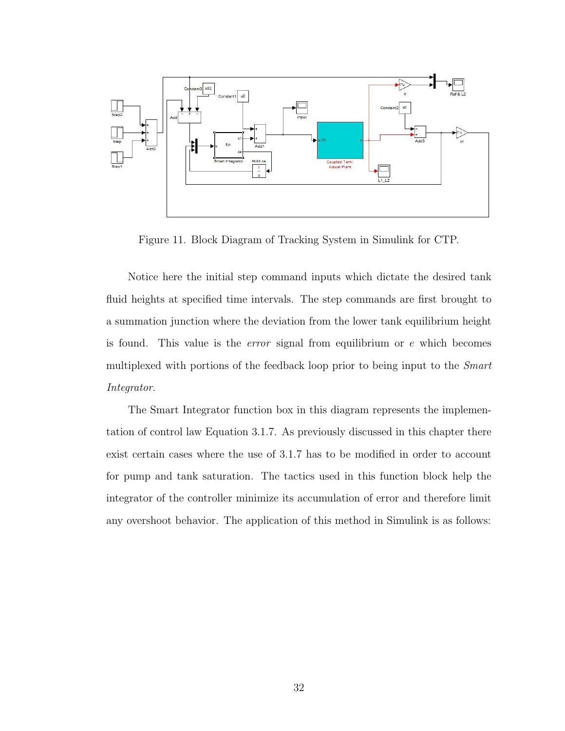

<span id="page-41-0"></span>Figure 11. Block Diagram of Tracking System in Simulink for CTP.

Notice here the initial step command inputs which dictate the desired tank fluid heights at specified time intervals. The step commands are first brought to a summation junction where the deviation from the lower tank equilibrium height is found. This value is the error signal from equilibrium or e which becomes multiplexed with portions of the feedback loop prior to being input to the *Smart* Integrator.

The Smart Integrator function box in this diagram represents the implementation of control law Equation [3.1.7.](#page-32-2) As previously discussed in this chapter there exist certain cases where the use of [3.1.7](#page-32-2) has to be modified in order to account for pump and tank saturation. The tactics used in this function block help the integrator of the controller minimize its accumulation of error and therefore limit any overshoot behavior. The application of this method in Simulink is as follows: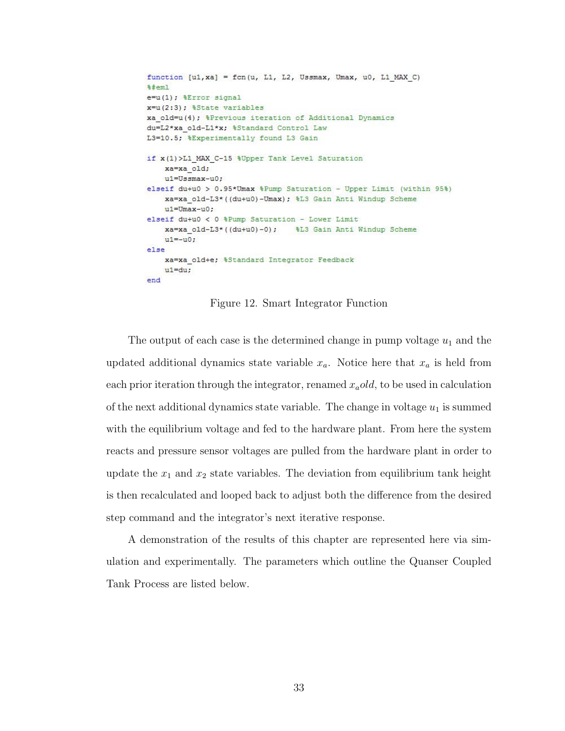```
function [u1, xa] = fcn(u, L1, L2, Ussmax, Umax, u0, L1 MAX C)
%#eml
e=u(1); %Error signal
x=u(2:3); %State variables
xa_old=u(4); %Previous iteration of Additional Dynamics
du=L2*xa old-L1*x; %Standard Control Law
L3=10.5; %Experimentally found L3 Gain
if x(1) >L1 MAX C-15 %Upper Tank Level Saturation
    xa=xa old;
    u1=Ussmax-u0;
elseif du+u0 > 0.95*Umax %Pump Saturation - Upper Limit (within 95%)
    xa=xa old-L3*((du+u0)-Umax); %L3 Gain Anti Windup Scheme
    u1=Umax-u0;elseif du+u0 < 0 %Pump Saturation - Lower Limit
    xa=xa old-L3*((du+u0)-0);
                               %L3 Gain Anti Windup Scheme
    u1 = -u0;else
    xa=xa_old+e; %Standard Integrator Feedback
    u1 = du:
end
```
<span id="page-42-0"></span>Figure 12. Smart Integrator Function

The output of each case is the determined change in pump voltage  $u_1$  and the updated additional dynamics state variable  $x_a$ . Notice here that  $x_a$  is held from each prior iteration through the integrator, renamed  $x_{a}old$ , to be used in calculation of the next additional dynamics state variable. The change in voltage  $u_1$  is summed with the equilibrium voltage and fed to the hardware plant. From here the system reacts and pressure sensor voltages are pulled from the hardware plant in order to update the  $x_1$  and  $x_2$  state variables. The deviation from equilibrium tank height is then recalculated and looped back to adjust both the difference from the desired step command and the integrator's next iterative response.

A demonstration of the results of this chapter are represented here via simulation and experimentally. The parameters which outline the Quanser Coupled Tank Process are listed below.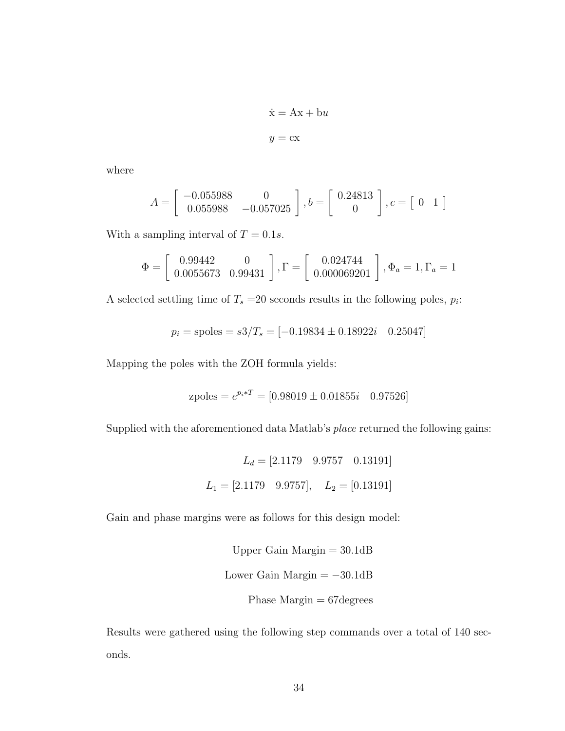$$
\dot{\mathbf{x}} = \mathbf{A}\mathbf{x} + \mathbf{b}u
$$

$$
y = \mathbf{c}\mathbf{x}
$$

where

$$
A = \begin{bmatrix} -0.055988 & 0\\ 0.055988 & -0.057025 \end{bmatrix}, b = \begin{bmatrix} 0.24813\\ 0 \end{bmatrix}, c = \begin{bmatrix} 0 & 1 \end{bmatrix}
$$

With a sampling interval of  $T = 0.1s$ .

$$
\Phi = \begin{bmatrix} 0.99442 & 0 \\ 0.0055673 & 0.99431 \end{bmatrix}, \Gamma = \begin{bmatrix} 0.024744 \\ 0.000069201 \end{bmatrix}, \Phi_a = 1, \Gamma_a = 1
$$

A selected settling time of  $T_s = 20$  seconds results in the following poles,  $p_i$ :

$$
p_i = \text{spoles} = s3/T_s = [-0.19834 \pm 0.18922i \quad 0.25047]
$$

Mapping the poles with the ZOH formula yields:

zpoles = 
$$
e^{p_i*T}
$$
 = [0.98019 ± 0.01855*i* 0.97526]

Supplied with the aforementioned data Matlab's place returned the following gains:

$$
L_d = [2.1179 \quad 9.9757 \quad 0.13191]
$$
  

$$
L_1 = [2.1179 \quad 9.9757], \quad L_2 = [0.13191]
$$

Gain and phase margins were as follows for this design model:

Upper Gain Margin = 
$$
30.1
$$
dB  
Lower Gain Margin =  $-30.1$ dB  
Phase Margin =  $67$ degrees

Results were gathered using the following step commands over a total of 140 seconds.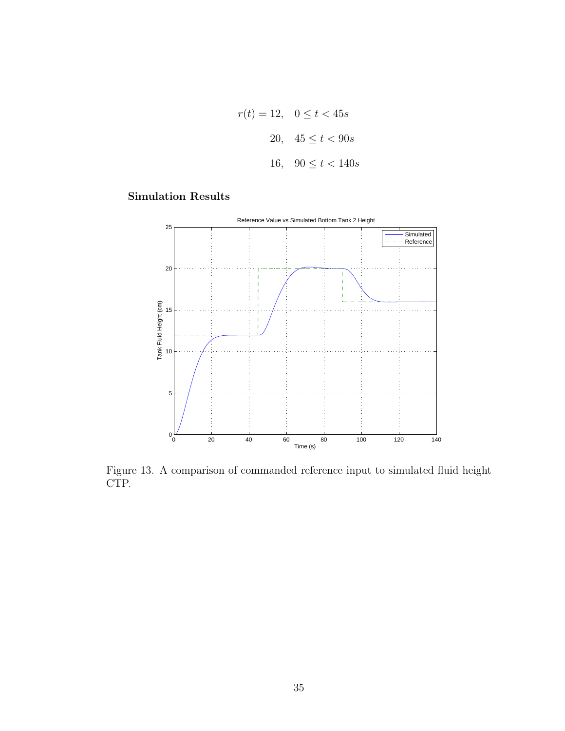$$
r(t) = 12, \quad 0 \le t < 45s
$$
\n
$$
20, \quad 45 \le t < 90s
$$
\n
$$
16, \quad 90 \le t < 140s
$$

### Simulation Results



<span id="page-44-0"></span>Figure 13. A comparison of commanded reference input to simulated fluid height CTP.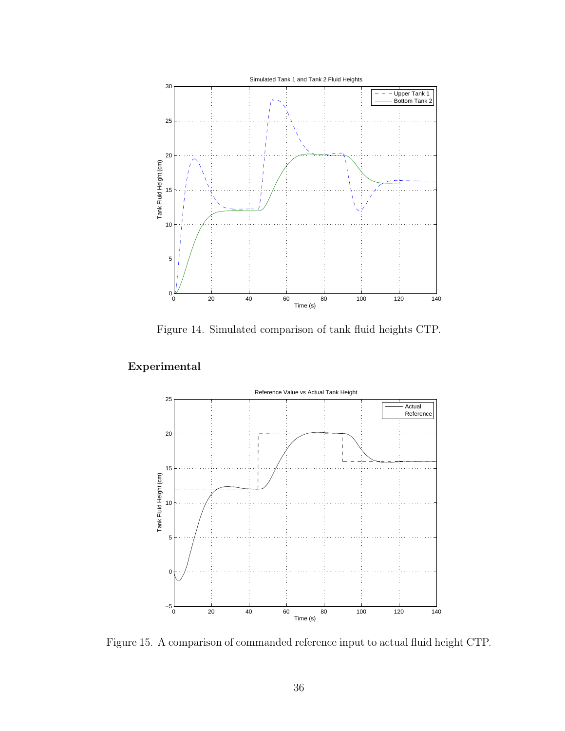

<span id="page-45-0"></span>Figure 14. Simulated comparison of tank fluid heights CTP.

## Experimental



<span id="page-45-1"></span>Figure 15. A comparison of commanded reference input to actual fluid height CTP.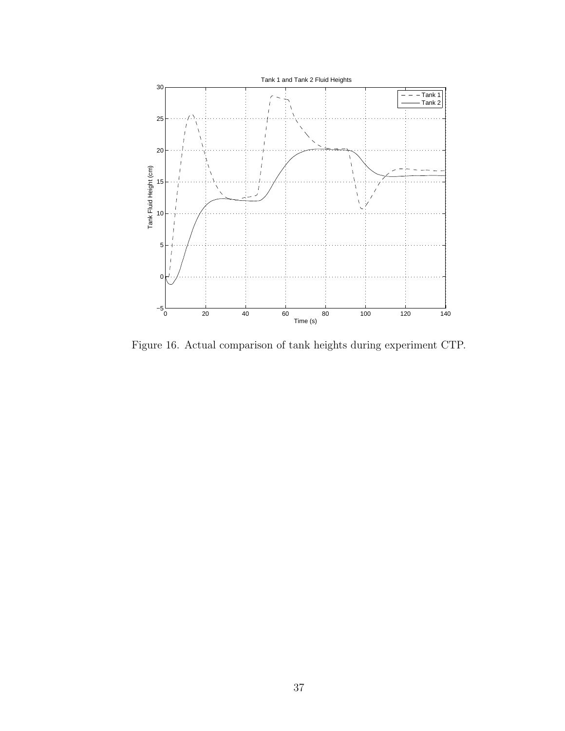

<span id="page-46-0"></span>Figure 16. Actual comparison of tank heights during experiment CTP.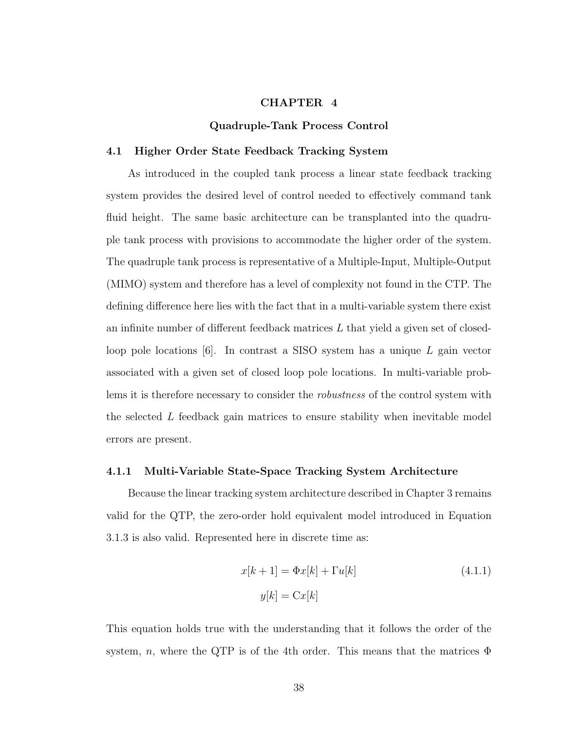#### CHAPTER 4

#### Quadruple-Tank Process Control

#### <span id="page-47-1"></span><span id="page-47-0"></span>4.1 Higher Order State Feedback Tracking System

As introduced in the coupled tank process a linear state feedback tracking system provides the desired level of control needed to effectively command tank fluid height. The same basic architecture can be transplanted into the quadruple tank process with provisions to accommodate the higher order of the system. The quadruple tank process is representative of a Multiple-Input, Multiple-Output (MIMO) system and therefore has a level of complexity not found in the CTP. The defining difference here lies with the fact that in a multi-variable system there exist an infinite number of different feedback matrices  $L$  that yield a given set of closedloop pole locations  $[6]$ . In contrast a SISO system has a unique L gain vector associated with a given set of closed loop pole locations. In multi-variable problems it is therefore necessary to consider the *robustness* of the control system with the selected L feedback gain matrices to ensure stability when inevitable model errors are present.

#### <span id="page-47-2"></span>4.1.1 Multi-Variable State-Space Tracking System Architecture

Because the linear tracking system architecture described in Chapter 3 remains valid for the QTP, the zero-order hold equivalent model introduced in Equation [3.1.3](#page-29-0) is also valid. Represented here in discrete time as:

<span id="page-47-3"></span>
$$
x[k+1] = \Phi x[k] + \Gamma u[k]
$$
\n
$$
y[k] = \text{Cx}[k]
$$
\n(4.1.1)

This equation holds true with the understanding that it follows the order of the system, n, where the QTP is of the 4th order. This means that the matrices  $\Phi$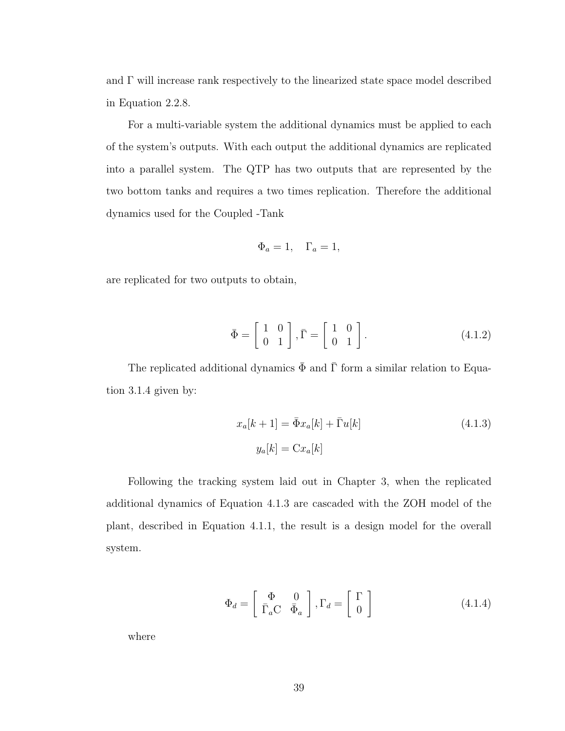and Γ will increase rank respectively to the linearized state space model described in Equation [2.2.8.](#page-19-1)

For a multi-variable system the additional dynamics must be applied to each of the system's outputs. With each output the additional dynamics are replicated into a parallel system. The QTP has two outputs that are represented by the two bottom tanks and requires a two times replication. Therefore the additional dynamics used for the Coupled -Tank

$$
\Phi_a = 1, \quad \Gamma_a = 1,
$$

are replicated for two outputs to obtain,

$$
\bar{\Phi} = \begin{bmatrix} 1 & 0 \\ 0 & 1 \end{bmatrix}, \bar{\Gamma} = \begin{bmatrix} 1 & 0 \\ 0 & 1 \end{bmatrix}.
$$
 (4.1.2)

The replicated additional dynamics  $\bar{\Phi}$  and  $\bar{\Gamma}$  form a similar relation to Equation [3.1.4](#page-30-0) given by:

<span id="page-48-0"></span>
$$
x_a[k+1] = \bar{\Phi}x_a[k] + \bar{\Gamma}u[k]
$$
\n
$$
y_a[k] = \text{C}x_a[k]
$$
\n(4.1.3)

Following the tracking system laid out in Chapter 3, when the replicated additional dynamics of Equation [4.1.3](#page-48-0) are cascaded with the ZOH model of the plant, described in Equation [4.1.1,](#page-47-3) the result is a design model for the overall system.

$$
\Phi_d = \begin{bmatrix} \Phi & 0\\ \bar{\Gamma}_a C & \bar{\Phi}_a \end{bmatrix}, \Gamma_d = \begin{bmatrix} \Gamma\\ 0 \end{bmatrix}
$$
 (4.1.4)

where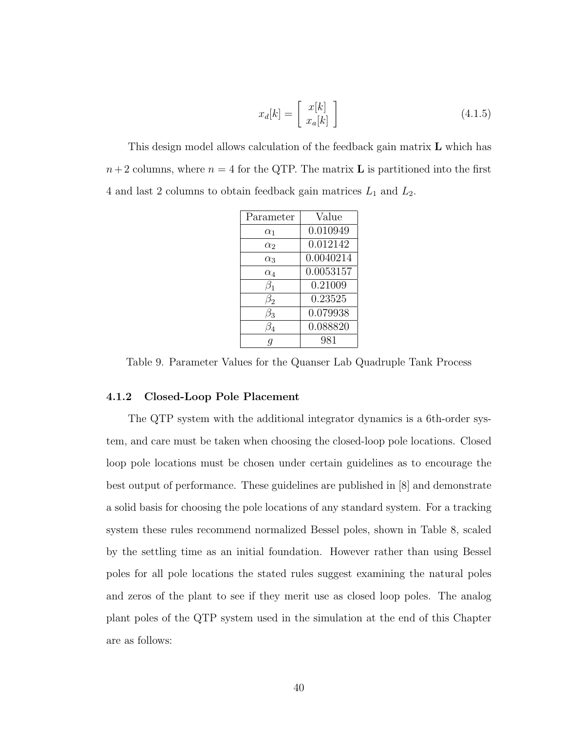$$
x_d[k] = \left[\begin{array}{c} x[k] \\ x_a[k] \end{array}\right] \tag{4.1.5}
$$

This design model allows calculation of the feedback gain matrix **L** which has  $n+2$  columns, where  $n = 4$  for the QTP. The matrix **L** is partitioned into the first 4 and last 2 columns to obtain feedback gain matrices  $L_1$  and  $L_2$ .

| Parameter  | Value     |  |
|------------|-----------|--|
| $\alpha_1$ | 0.010949  |  |
| $\alpha_2$ | 0.012142  |  |
| $\alpha_3$ | 0.0040214 |  |
| $\alpha_4$ | 0.0053157 |  |
| $\beta_1$  | 0.21009   |  |
| $\beta_2$  | 0.23525   |  |
| 33         | 0.079938  |  |
|            | 0.088820  |  |
|            | 981       |  |

<span id="page-49-1"></span>Table 9. Parameter Values for the Quanser Lab Quadruple Tank Process

#### <span id="page-49-0"></span>4.1.2 Closed-Loop Pole Placement

The QTP system with the additional integrator dynamics is a 6th-order system, and care must be taken when choosing the closed-loop pole locations. Closed loop pole locations must be chosen under certain guidelines as to encourage the best output of performance. These guidelines are published in [\[8\]](#page-59-8) and demonstrate a solid basis for choosing the pole locations of any standard system. For a tracking system these rules recommend normalized Bessel poles, shown in Table [8,](#page-31-0) scaled by the settling time as an initial foundation. However rather than using Bessel poles for all pole locations the stated rules suggest examining the natural poles and zeros of the plant to see if they merit use as closed loop poles. The analog plant poles of the QTP system used in the simulation at the end of this Chapter are as follows: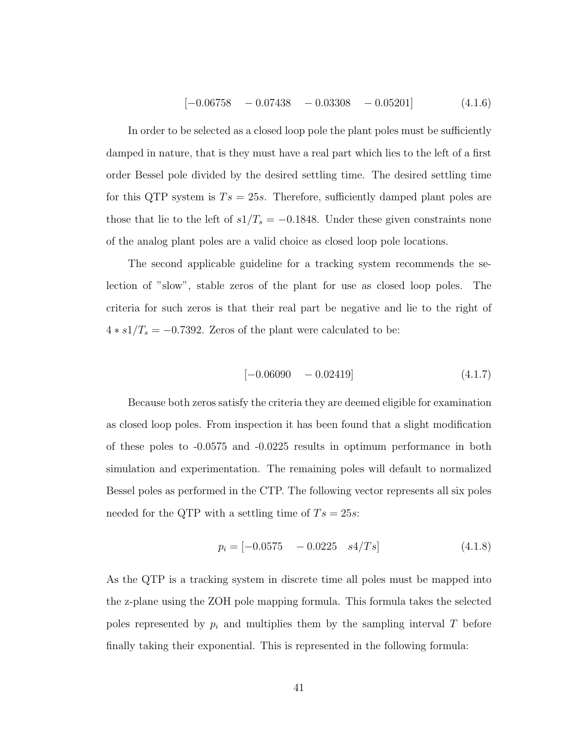$$
[-0.06758 - 0.07438 - 0.03308 - 0.05201]
$$
 (4.1.6)

In order to be selected as a closed loop pole the plant poles must be sufficiently damped in nature, that is they must have a real part which lies to the left of a first order Bessel pole divided by the desired settling time. The desired settling time for this QTP system is  $Ts = 25s$ . Therefore, sufficiently damped plant poles are those that lie to the left of  $s1/T_s = -0.1848$ . Under these given constraints none of the analog plant poles are a valid choice as closed loop pole locations.

The second applicable guideline for a tracking system recommends the selection of "slow", stable zeros of the plant for use as closed loop poles. The criteria for such zeros is that their real part be negative and lie to the right of  $4 * s1/T_s = -0.7392$ . Zeros of the plant were calculated to be:

$$
[-0.06090 - 0.02419] \tag{4.1.7}
$$

Because both zeros satisfy the criteria they are deemed eligible for examination as closed loop poles. From inspection it has been found that a slight modification of these poles to -0.0575 and -0.0225 results in optimum performance in both simulation and experimentation. The remaining poles will default to normalized Bessel poles as performed in the CTP. The following vector represents all six poles needed for the QTP with a settling time of  $Ts = 25s$ :

$$
p_i = [-0.0575 \quad -0.0225 \quad s4/Ts] \tag{4.1.8}
$$

As the QTP is a tracking system in discrete time all poles must be mapped into the z-plane using the ZOH pole mapping formula. This formula takes the selected poles represented by  $p_i$  and multiplies them by the sampling interval T before finally taking their exponential. This is represented in the following formula: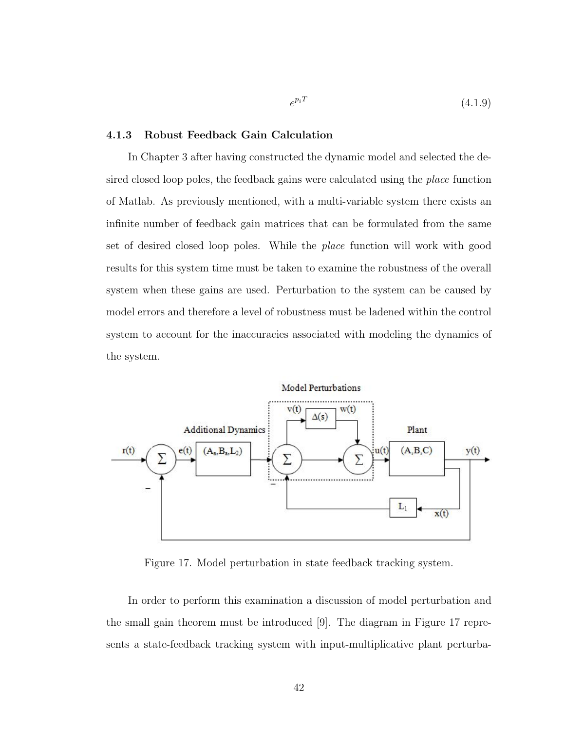$$
e^{p_i T} \tag{4.1.9}
$$

#### <span id="page-51-0"></span>4.1.3 Robust Feedback Gain Calculation

In Chapter 3 after having constructed the dynamic model and selected the desired closed loop poles, the feedback gains were calculated using the place function of Matlab. As previously mentioned, with a multi-variable system there exists an infinite number of feedback gain matrices that can be formulated from the same set of desired closed loop poles. While the place function will work with good results for this system time must be taken to examine the robustness of the overall system when these gains are used. Perturbation to the system can be caused by model errors and therefore a level of robustness must be ladened within the control system to account for the inaccuracies associated with modeling the dynamics of the system.



<span id="page-51-1"></span>Figure 17. Model perturbation in state feedback tracking system.

In order to perform this examination a discussion of model perturbation and the small gain theorem must be introduced [\[9\]](#page-59-9). The diagram in Figure [17](#page-51-1) represents a state-feedback tracking system with input-multiplicative plant perturba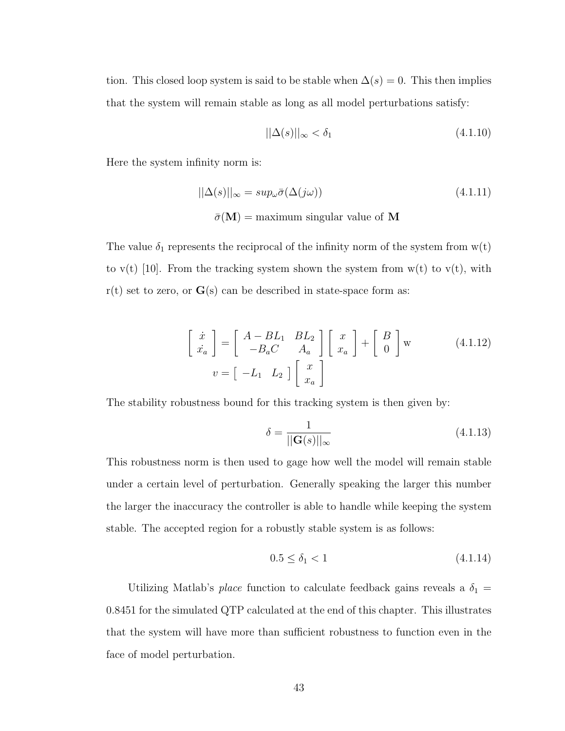tion. This closed loop system is said to be stable when  $\Delta(s) = 0$ . This then implies that the system will remain stable as long as all model perturbations satisfy:

$$
||\Delta(s)||_{\infty} < \delta_1 \tag{4.1.10}
$$

Here the system infinity norm is:

$$
||\Delta(s)||_{\infty} = \sup_{\omega} \bar{\sigma}(\Delta(j\omega))
$$
\n(4.1.11)\n
$$
\bar{\sigma}(\mathbf{M}) = \text{maximum singular value of } \mathbf{M}
$$

The value  $\delta_1$  represents the reciprocal of the infinity norm of the system from  $w(t)$ to  $v(t)$  [\[10\]](#page-59-10). From the tracking system shown the system from  $w(t)$  to  $v(t)$ , with  $r(t)$  set to zero, or  $G(s)$  can be described in state-space form as:

$$
\begin{bmatrix} \dot{x} \\ \dot{x}_a \end{bmatrix} = \begin{bmatrix} A - BL_1 & BL_2 \\ -B_a C & A_a \end{bmatrix} \begin{bmatrix} x \\ x_a \end{bmatrix} + \begin{bmatrix} B \\ 0 \end{bmatrix} w \qquad (4.1.12)
$$

$$
v = \begin{bmatrix} -L_1 & L_2 \end{bmatrix} \begin{bmatrix} x \\ x_a \end{bmatrix}
$$

The stability robustness bound for this tracking system is then given by:

$$
\delta = \frac{1}{||\mathbf{G}(s)||_{\infty}}\tag{4.1.13}
$$

This robustness norm is then used to gage how well the model will remain stable under a certain level of perturbation. Generally speaking the larger this number the larger the inaccuracy the controller is able to handle while keeping the system stable. The accepted region for a robustly stable system is as follows:

$$
0.5 \le \delta_1 < 1 \tag{4.1.14}
$$

Utilizing Matlab's *place* function to calculate feedback gains reveals a  $\delta_1$  = 0.8451 for the simulated QTP calculated at the end of this chapter. This illustrates that the system will have more than sufficient robustness to function even in the face of model perturbation.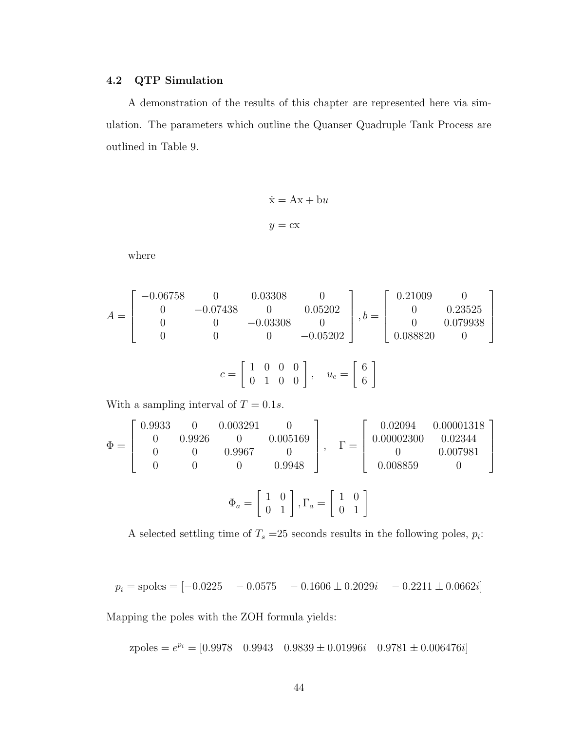#### <span id="page-53-0"></span>4.2 QTP Simulation

A demonstration of the results of this chapter are represented here via simulation. The parameters which outline the Quanser Quadruple Tank Process are outlined in Table [9.](#page-49-1)

$$
\dot{\mathbf{x}} = \mathbf{A}\mathbf{x} + \mathbf{b}u
$$

$$
y = \mathbf{c}\mathbf{x}
$$

where

$$
A = \begin{bmatrix} -0.06758 & 0 & 0.03308 & 0 \\ 0 & -0.07438 & 0 & 0.05202 \\ 0 & 0 & -0.03308 & 0 \\ 0 & 0 & 0 & -0.05202 \end{bmatrix}, b = \begin{bmatrix} 0.21009 & 0 \\ 0 & 0.23525 \\ 0 & 0.079938 \\ 0.088820 & 0 \end{bmatrix}
$$

$$
c = \begin{bmatrix} 1 & 0 & 0 & 0 \\ 0 & 1 & 0 & 0 \end{bmatrix}, \quad u_e = \begin{bmatrix} 6 \\ 6 \end{bmatrix}
$$

With a sampling interval of  $T = 0.1s$ .

$$
\Phi = \begin{bmatrix} 0.9933 & 0 & 0.003291 & 0 \\ 0 & 0.9926 & 0 & 0.005169 \\ 0 & 0 & 0.9967 & 0 \\ 0 & 0 & 0 & 0.9948 \end{bmatrix}, \quad \Gamma = \begin{bmatrix} 0.02094 & 0.00001318 \\ 0.00002300 & 0.02344 \\ 0 & 0.007981 \\ 0.008859 & 0 \end{bmatrix}
$$

$$
\Phi_a = \begin{bmatrix} 1 & 0 \\ 0 & 1 \end{bmatrix}, \Gamma_a = \begin{bmatrix} 1 & 0 \\ 0 & 1 \end{bmatrix}
$$

A selected settling time of  $T_s = 25$  seconds results in the following poles,  $p_i$ :

$$
p_i = \text{spoles} = [-0.0225 \quad -0.0575 \quad -0.1606 \pm 0.2029i \quad -0.2211 \pm 0.0662i]
$$

Mapping the poles with the ZOH formula yields:

zpoles =  $e^{p_i}$  = [0.9978 0.9943 0.9839  $\pm$  0.01996*i* 0.9781  $\pm$  0.006476*i*]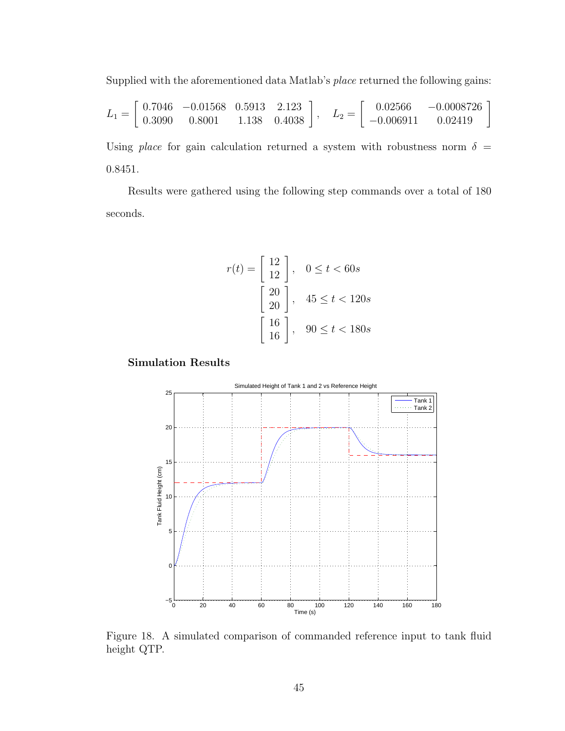Supplied with the aforementioned data Matlab's place returned the following gains:

$$
L_1 = \left[ \begin{array}{cccc} 0.7046 & -0.01568 & 0.5913 & 2.123 \\ 0.3090 & 0.8001 & 1.138 & 0.4038 \end{array} \right], \quad L_2 = \left[ \begin{array}{cc} 0.02566 & -0.0008726 \\ -0.006911 & 0.02419 \end{array} \right]
$$

Using place for gain calculation returned a system with robustness norm  $\delta =$ 0.8451.

Results were gathered using the following step commands over a total of 180 seconds.

$$
r(t) = \begin{bmatrix} 12 \\ 12 \end{bmatrix}, \quad 0 \le t < 60s
$$
\n
$$
\begin{bmatrix} 20 \\ 20 \end{bmatrix}, \quad 45 \le t < 120s
$$
\n
$$
\begin{bmatrix} 16 \\ 16 \end{bmatrix}, \quad 90 \le t < 180s
$$

Simulation Results



<span id="page-54-0"></span>Figure 18. A simulated comparison of commanded reference input to tank fluid height QTP.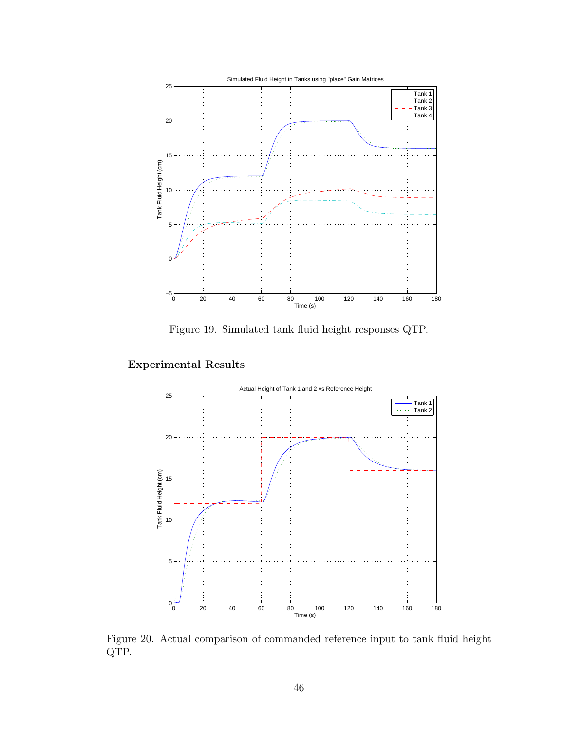

<span id="page-55-0"></span>Figure 19. Simulated tank fluid height responses QTP.

### Experimental Results



<span id="page-55-1"></span>Figure 20. Actual comparison of commanded reference input to tank fluid height QTP.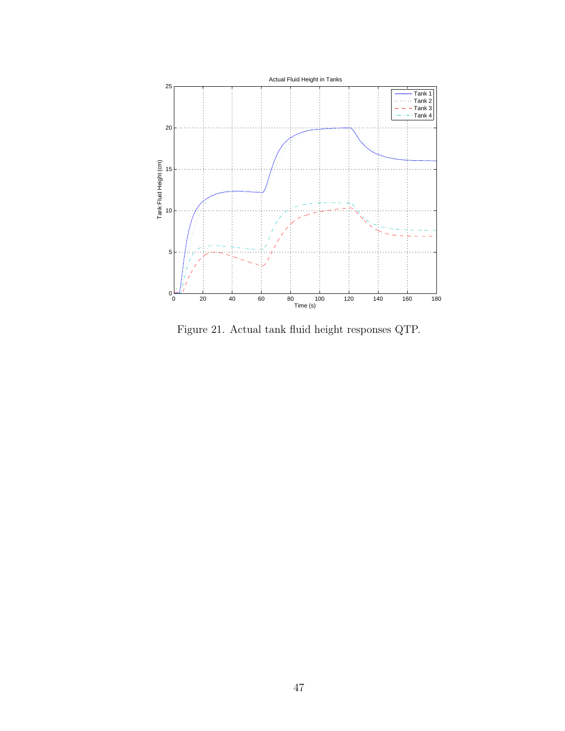

<span id="page-56-0"></span>Figure 21. Actual tank fluid height responses QTP.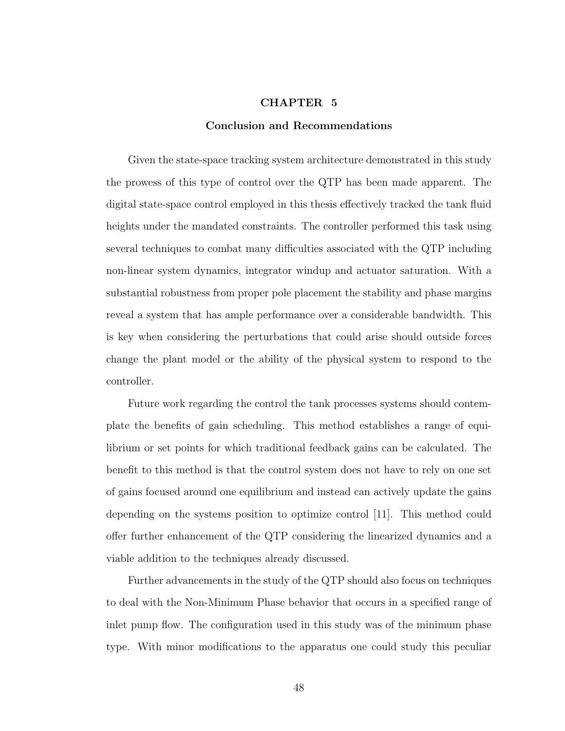#### CHAPTER 5

#### Conclusion and Recommendations

<span id="page-57-0"></span>Given the state-space tracking system architecture demonstrated in this study the prowess of this type of control over the QTP has been made apparent. The digital state-space control employed in this thesis effectively tracked the tank fluid heights under the mandated constraints. The controller performed this task using several techniques to combat many difficulties associated with the QTP including non-linear system dynamics, integrator windup and actuator saturation. With a substantial robustness from proper pole placement the stability and phase margins reveal a system that has ample performance over a considerable bandwidth. This is key when considering the perturbations that could arise should outside forces change the plant model or the ability of the physical system to respond to the controller.

Future work regarding the control the tank processes systems should contemplate the benefits of gain scheduling. This method establishes a range of equilibrium or set points for which traditional feedback gains can be calculated. The benefit to this method is that the control system does not have to rely on one set of gains focused around one equilibrium and instead can actively update the gains depending on the systems position to optimize control [\[11\]](#page-59-11). This method could offer further enhancement of the QTP considering the linearized dynamics and a viable addition to the techniques already discussed.

Further advancements in the study of the QTP should also focus on techniques to deal with the Non-Minimum Phase behavior that occurs in a specified range of inlet pump flow. The configuration used in this study was of the minimum phase type. With minor modifications to the apparatus one could study this peculiar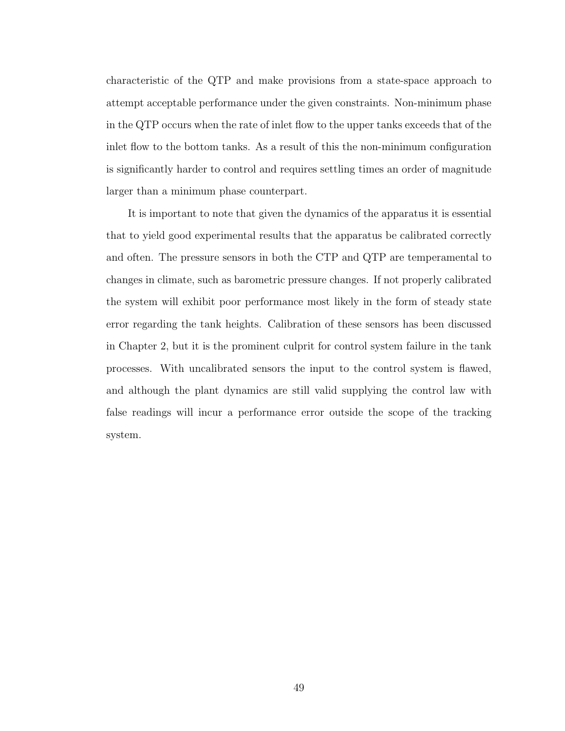characteristic of the QTP and make provisions from a state-space approach to attempt acceptable performance under the given constraints. Non-minimum phase in the QTP occurs when the rate of inlet flow to the upper tanks exceeds that of the inlet flow to the bottom tanks. As a result of this the non-minimum configuration is significantly harder to control and requires settling times an order of magnitude larger than a minimum phase counterpart.

It is important to note that given the dynamics of the apparatus it is essential that to yield good experimental results that the apparatus be calibrated correctly and often. The pressure sensors in both the CTP and QTP are temperamental to changes in climate, such as barometric pressure changes. If not properly calibrated the system will exhibit poor performance most likely in the form of steady state error regarding the tank heights. Calibration of these sensors has been discussed in Chapter 2, but it is the prominent culprit for control system failure in the tank processes. With uncalibrated sensors the input to the control system is flawed, and although the plant dynamics are still valid supplying the control law with false readings will incur a performance error outside the scope of the tracking system.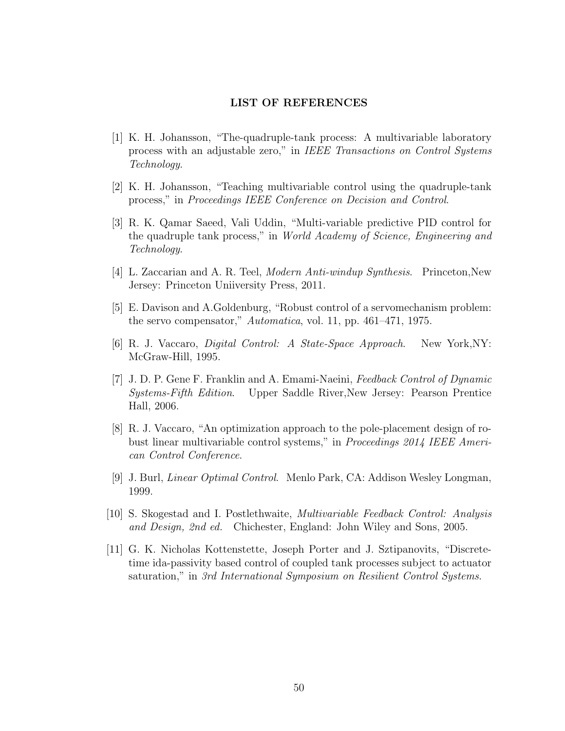#### LIST OF REFERENCES

- <span id="page-59-2"></span><span id="page-59-0"></span>[1] K. H. Johansson, "The-quadruple-tank process: A multivariable laboratory process with an adjustable zero," in IEEE Transactions on Control Systems Technology.
- <span id="page-59-3"></span>[2] K. H. Johansson, "Teaching multivariable control using the quadruple-tank process," in Proceedings IEEE Conference on Decision and Control.
- <span id="page-59-4"></span>[3] R. K. Qamar Saeed, Vali Uddin, "Multi-variable predictive PID control for the quadruple tank process," in World Academy of Science, Engineering and Technology.
- <span id="page-59-5"></span>[4] L. Zaccarian and A. R. Teel, Modern Anti-windup Synthesis. Princeton,New Jersey: Princeton Uniiversity Press, 2011.
- <span id="page-59-6"></span>[5] E. Davison and A.Goldenburg, "Robust control of a servomechanism problem: the servo compensator," Automatica, vol. 11, pp. 461–471, 1975.
- <span id="page-59-1"></span>[6] R. J. Vaccaro, Digital Control: A State-Space Approach. New York,NY: McGraw-Hill, 1995.
- <span id="page-59-7"></span>[7] J. D. P. Gene F. Franklin and A. Emami-Naeini, Feedback Control of Dynamic Systems-Fifth Edition. Upper Saddle River,New Jersey: Pearson Prentice Hall, 2006.
- <span id="page-59-8"></span>[8] R. J. Vaccaro, "An optimization approach to the pole-placement design of robust linear multivariable control systems," in Proceedings 2014 IEEE American Control Conference.
- <span id="page-59-9"></span>[9] J. Burl, Linear Optimal Control. Menlo Park, CA: Addison Wesley Longman, 1999.
- <span id="page-59-10"></span>[10] S. Skogestad and I. Postlethwaite, Multivariable Feedback Control: Analysis and Design, 2nd ed. Chichester, England: John Wiley and Sons, 2005.
- <span id="page-59-11"></span>[11] G. K. Nicholas Kottenstette, Joseph Porter and J. Sztipanovits, "Discretetime ida-passivity based control of coupled tank processes subject to actuator saturation," in 3rd International Symposium on Resilient Control Systems.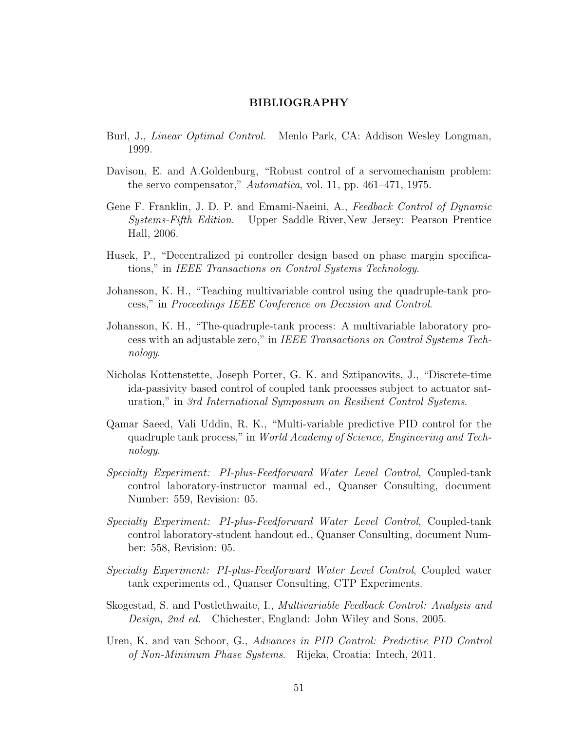#### BIBLIOGRAPHY

- <span id="page-60-0"></span>Burl, J., Linear Optimal Control. Menlo Park, CA: Addison Wesley Longman, 1999.
- Davison, E. and A.Goldenburg, "Robust control of a servomechanism problem: the servo compensator," Automatica, vol. 11, pp. 461–471, 1975.
- Gene F. Franklin, J. D. P. and Emami-Naeini, A., Feedback Control of Dynamic Systems-Fifth Edition. Upper Saddle River,New Jersey: Pearson Prentice Hall, 2006.
- Husek, P., "Decentralized pi controller design based on phase margin specifications," in IEEE Transactions on Control Systems Technology.
- Johansson, K. H., "Teaching multivariable control using the quadruple-tank process," in Proceedings IEEE Conference on Decision and Control.
- Johansson, K. H., "The-quadruple-tank process: A multivariable laboratory process with an adjustable zero," in IEEE Transactions on Control Systems Technology.
- Nicholas Kottenstette, Joseph Porter, G. K. and Sztipanovits, J., "Discrete-time ida-passivity based control of coupled tank processes subject to actuator saturation," in 3rd International Symposium on Resilient Control Systems.
- Qamar Saeed, Vali Uddin, R. K., "Multi-variable predictive PID control for the quadruple tank process," in World Academy of Science, Engineering and Technology.
- Specialty Experiment: PI-plus-Feedforward Water Level Control, Coupled-tank control laboratory-instructor manual ed., Quanser Consulting, document Number: 559, Revision: 05.
- Specialty Experiment: PI-plus-Feedforward Water Level Control, Coupled-tank control laboratory-student handout ed., Quanser Consulting, document Number: 558, Revision: 05.
- Specialty Experiment: PI-plus-Feedforward Water Level Control, Coupled water tank experiments ed., Quanser Consulting, CTP Experiments.
- Skogestad, S. and Postlethwaite, I., Multivariable Feedback Control: Analysis and Design, 2nd ed. Chichester, England: John Wiley and Sons, 2005.
- Uren, K. and van Schoor, G., Advances in PID Control: Predictive PID Control of Non-Minimum Phase Systems. Rijeka, Croatia: Intech, 2011.